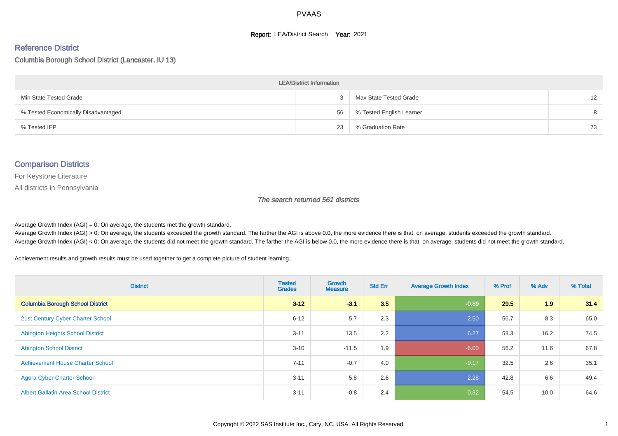#### **Report: LEA/District Search Year: 2021**

#### Reference District

#### Columbia Borough School District (Lancaster, IU 13)

| <b>LEA/District Information</b>     |    |                          |    |  |  |  |  |  |  |  |
|-------------------------------------|----|--------------------------|----|--|--|--|--|--|--|--|
| Min State Tested Grade              |    | Max State Tested Grade   | 12 |  |  |  |  |  |  |  |
| % Tested Economically Disadvantaged | 56 | % Tested English Learner | 8  |  |  |  |  |  |  |  |
| % Tested IEP                        | 23 | % Graduation Rate        | 73 |  |  |  |  |  |  |  |

#### Comparison Districts

For Keystone Literature

All districts in Pennsylvania

The search returned 561 districts

Average Growth Index  $(AGI) = 0$ : On average, the students met the growth standard.

Average Growth Index (AGI) > 0: On average, the students exceeded the growth standard. The farther the AGI is above 0.0, the more evidence there is that, on average, students exceeded the growth standard. Average Growth Index (AGI) < 0: On average, the students did not meet the growth standard. The farther the AGI is below 0.0, the more evidence there is that, on average, students did not meet the growth standard.

Achievement results and growth results must be used together to get a complete picture of student learning.

| <b>District</b>                             | <b>Tested</b><br><b>Grades</b> | <b>Growth</b><br><b>Measure</b> | <b>Std Err</b> | <b>Average Growth Index</b> | % Prof | % Adv | % Total |
|---------------------------------------------|--------------------------------|---------------------------------|----------------|-----------------------------|--------|-------|---------|
| <b>Columbia Borough School District</b>     | $3 - 12$                       | $-3.1$                          | 3.5            | $-0.89$                     | 29.5   | 1.9   | 31.4    |
| 21st Century Cyber Charter School           | $6 - 12$                       | 5.7                             | 2.3            | 2.50                        | 56.7   | 8.3   | 65.0    |
| <b>Abington Heights School District</b>     | $3 - 11$                       | 13.5                            | 2.2            | 6.27                        | 58.3   | 16.2  | 74.5    |
| <b>Abington School District</b>             | $3 - 10$                       | $-11.5$                         | 1.9            | $-6.00$                     | 56.2   | 11.6  | 67.8    |
| <b>Achievement House Charter School</b>     | $7 - 11$                       | $-0.7$                          | 4.0            | $-0.17$                     | 32.5   | 2.6   | 35.1    |
| <b>Agora Cyber Charter School</b>           | $3 - 11$                       | 5.8                             | 2.6            | 2.28                        | 42.8   | 6.6   | 49.4    |
| <b>Albert Gallatin Area School District</b> | $3 - 11$                       | $-0.8$                          | 2.4            | $-0.32$                     | 54.5   | 10.0  | 64.6    |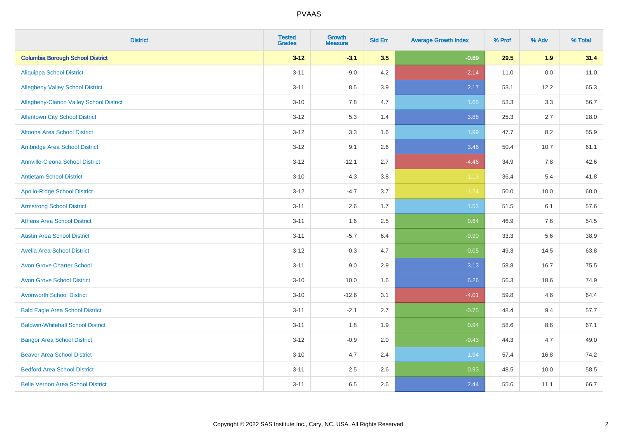| <b>District</b>                          | <b>Tested</b><br><b>Grades</b> | <b>Growth</b><br><b>Measure</b> | <b>Std Err</b> | <b>Average Growth Index</b> | % Prof | % Adv   | % Total |
|------------------------------------------|--------------------------------|---------------------------------|----------------|-----------------------------|--------|---------|---------|
| <b>Columbia Borough School District</b>  | $3 - 12$                       | $-3.1$                          | 3.5            | $-0.89$                     | 29.5   | 1.9     | 31.4    |
| <b>Aliquippa School District</b>         | $3 - 11$                       | $-9.0$                          | 4.2            | $-2.14$                     | 11.0   | $0.0\,$ | 11.0    |
| <b>Allegheny Valley School District</b>  | $3 - 11$                       | 8.5                             | 3.9            | 2.17                        | 53.1   | 12.2    | 65.3    |
| Allegheny-Clarion Valley School District | $3 - 10$                       | 7.8                             | 4.7            | 1.65                        | 53.3   | 3.3     | 56.7    |
| <b>Allentown City School District</b>    | $3 - 12$                       | 5.3                             | 1.4            | 3.88                        | 25.3   | 2.7     | 28.0    |
| <b>Altoona Area School District</b>      | $3 - 12$                       | 3.3                             | 1.6            | 1.99                        | 47.7   | 8.2     | 55.9    |
| Ambridge Area School District            | $3 - 12$                       | 9.1                             | 2.6            | 3.46                        | 50.4   | 10.7    | 61.1    |
| <b>Annville-Cleona School District</b>   | $3 - 12$                       | $-12.1$                         | 2.7            | $-4.46$                     | 34.9   | 7.8     | 42.6    |
| <b>Antietam School District</b>          | $3 - 10$                       | $-4.3$                          | 3.8            | $-1.13$                     | 36.4   | 5.4     | 41.8    |
| <b>Apollo-Ridge School District</b>      | $3 - 12$                       | $-4.7$                          | 3.7            | $-1.24$                     | 50.0   | 10.0    | 60.0    |
| <b>Armstrong School District</b>         | $3 - 11$                       | 2.6                             | 1.7            | 1.53                        | 51.5   | 6.1     | 57.6    |
| <b>Athens Area School District</b>       | $3 - 11$                       | 1.6                             | 2.5            | 0.64                        | 46.9   | 7.6     | 54.5    |
| <b>Austin Area School District</b>       | $3 - 11$                       | $-5.7$                          | 6.4            | $-0.90$                     | 33.3   | 5.6     | 38.9    |
| <b>Avella Area School District</b>       | $3 - 12$                       | $-0.3$                          | 4.7            | $-0.05$                     | 49.3   | 14.5    | 63.8    |
| <b>Avon Grove Charter School</b>         | $3 - 11$                       | 9.0                             | 2.9            | 3.13                        | 58.8   | 16.7    | 75.5    |
| <b>Avon Grove School District</b>        | $3 - 10$                       | 10.0                            | 1.6            | 6.26                        | 56.3   | 18.6    | 74.9    |
| <b>Avonworth School District</b>         | $3 - 10$                       | $-12.6$                         | 3.1            | $-4.01$                     | 59.8   | 4.6     | 64.4    |
| <b>Bald Eagle Area School District</b>   | $3 - 11$                       | $-2.1$                          | 2.7            | $-0.75$                     | 48.4   | 9.4     | 57.7    |
| <b>Baldwin-Whitehall School District</b> | $3 - 11$                       | 1.8                             | 1.9            | 0.94                        | 58.6   | 8.6     | 67.1    |
| <b>Bangor Area School District</b>       | $3 - 12$                       | $-0.9$                          | 2.0            | $-0.43$                     | 44.3   | 4.7     | 49.0    |
| <b>Beaver Area School District</b>       | $3 - 10$                       | 4.7                             | 2.4            | 1.94                        | 57.4   | 16.8    | 74.2    |
| <b>Bedford Area School District</b>      | $3 - 11$                       | 2.5                             | 2.6            | 0.93                        | 48.5   | 10.0    | 58.5    |
| <b>Belle Vernon Area School District</b> | $3 - 11$                       | 6.5                             | 2.6            | 2.44                        | 55.6   | 11.1    | 66.7    |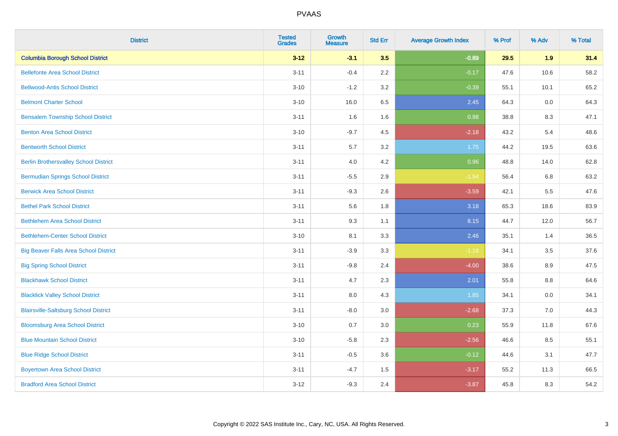| <b>District</b>                              | <b>Tested</b><br><b>Grades</b> | <b>Growth</b><br><b>Measure</b> | <b>Std Err</b> | <b>Average Growth Index</b> | % Prof | % Adv | % Total |
|----------------------------------------------|--------------------------------|---------------------------------|----------------|-----------------------------|--------|-------|---------|
| <b>Columbia Borough School District</b>      | $3 - 12$                       | $-3.1$                          | 3.5            | $-0.89$                     | 29.5   | 1.9   | 31.4    |
| <b>Bellefonte Area School District</b>       | $3 - 11$                       | $-0.4$                          | 2.2            | $-0.17$                     | 47.6   | 10.6  | 58.2    |
| <b>Bellwood-Antis School District</b>        | $3 - 10$                       | $-1.2$                          | 3.2            | $-0.39$                     | 55.1   | 10.1  | 65.2    |
| <b>Belmont Charter School</b>                | $3 - 10$                       | 16.0                            | 6.5            | 2.45                        | 64.3   | 0.0   | 64.3    |
| <b>Bensalem Township School District</b>     | $3 - 11$                       | 1.6                             | 1.6            | 0.98                        | 38.8   | 8.3   | 47.1    |
| <b>Benton Area School District</b>           | $3 - 10$                       | $-9.7$                          | 4.5            | $-2.18$                     | 43.2   | 5.4   | 48.6    |
| <b>Bentworth School District</b>             | $3 - 11$                       | 5.7                             | 3.2            | 1.75                        | 44.2   | 19.5  | 63.6    |
| <b>Berlin Brothersvalley School District</b> | $3 - 11$                       | 4.0                             | 4.2            | 0.96                        | 48.8   | 14.0  | 62.8    |
| <b>Bermudian Springs School District</b>     | $3 - 11$                       | $-5.5$                          | 2.9            | $-1.94$                     | 56.4   | 6.8   | 63.2    |
| <b>Berwick Area School District</b>          | $3 - 11$                       | $-9.3$                          | 2.6            | $-3.59$                     | 42.1   | 5.5   | 47.6    |
| <b>Bethel Park School District</b>           | $3 - 11$                       | 5.6                             | 1.8            | 3.18                        | 65.3   | 18.6  | 83.9    |
| <b>Bethlehem Area School District</b>        | $3 - 11$                       | 9.3                             | 1.1            | 8.15                        | 44.7   | 12.0  | 56.7    |
| <b>Bethlehem-Center School District</b>      | $3 - 10$                       | 8.1                             | 3.3            | 2.46                        | 35.1   | 1.4   | 36.5    |
| <b>Big Beaver Falls Area School District</b> | $3 - 11$                       | $-3.9$                          | 3.3            | $-1.18$                     | 34.1   | 3.5   | 37.6    |
| <b>Big Spring School District</b>            | $3 - 11$                       | $-9.8$                          | 2.4            | $-4.00$                     | 38.6   | 8.9   | 47.5    |
| <b>Blackhawk School District</b>             | $3 - 11$                       | 4.7                             | 2.3            | 2.01                        | 55.8   | 8.8   | 64.6    |
| <b>Blacklick Valley School District</b>      | $3 - 11$                       | 8.0                             | 4.3            | 1.85                        | 34.1   | 0.0   | 34.1    |
| <b>Blairsville-Saltsburg School District</b> | $3 - 11$                       | $-8.0$                          | 3.0            | $-2.68$                     | 37.3   | 7.0   | 44.3    |
| <b>Bloomsburg Area School District</b>       | $3 - 10$                       | 0.7                             | 3.0            | 0.23                        | 55.9   | 11.8  | 67.6    |
| <b>Blue Mountain School District</b>         | $3 - 10$                       | $-5.8$                          | 2.3            | $-2.56$                     | 46.6   | 8.5   | 55.1    |
| <b>Blue Ridge School District</b>            | $3 - 11$                       | $-0.5$                          | 3.6            | $-0.12$                     | 44.6   | 3.1   | 47.7    |
| <b>Boyertown Area School District</b>        | $3 - 11$                       | $-4.7$                          | 1.5            | $-3.17$                     | 55.2   | 11.3  | 66.5    |
| <b>Bradford Area School District</b>         | $3 - 12$                       | $-9.3$                          | 2.4            | $-3.87$                     | 45.8   | 8.3   | 54.2    |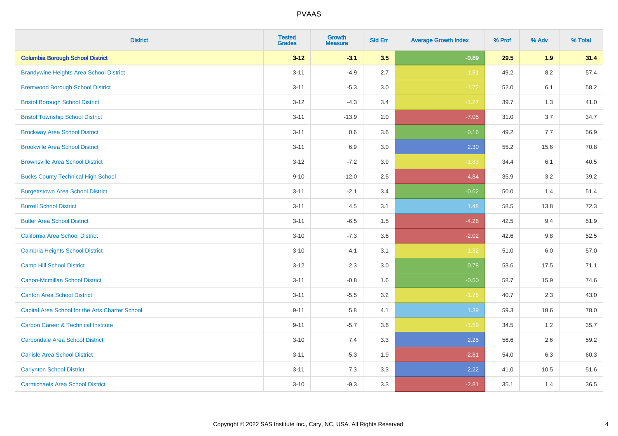| <b>District</b>                                 | <b>Tested</b><br><b>Grades</b> | <b>Growth</b><br><b>Measure</b> | <b>Std Err</b> | <b>Average Growth Index</b> | % Prof | % Adv   | % Total |
|-------------------------------------------------|--------------------------------|---------------------------------|----------------|-----------------------------|--------|---------|---------|
| <b>Columbia Borough School District</b>         | $3 - 12$                       | $-3.1$                          | 3.5            | $-0.89$                     | 29.5   | 1.9     | 31.4    |
| <b>Brandywine Heights Area School District</b>  | $3 - 11$                       | $-4.9$                          | 2.7            | $-1.81$                     | 49.2   | 8.2     | 57.4    |
| <b>Brentwood Borough School District</b>        | $3 - 11$                       | $-5.3$                          | 3.0            | $-1.72$                     | 52.0   | 6.1     | 58.2    |
| <b>Bristol Borough School District</b>          | $3 - 12$                       | $-4.3$                          | 3.4            | $-1.27$                     | 39.7   | 1.3     | 41.0    |
| <b>Bristol Township School District</b>         | $3 - 11$                       | $-13.9$                         | 2.0            | $-7.05$                     | 31.0   | 3.7     | 34.7    |
| <b>Brockway Area School District</b>            | $3 - 11$                       | 0.6                             | 3.6            | 0.16                        | 49.2   | 7.7     | 56.9    |
| <b>Brookville Area School District</b>          | $3 - 11$                       | 6.9                             | 3.0            | 2.30                        | 55.2   | 15.6    | 70.8    |
| <b>Brownsville Area School District</b>         | $3 - 12$                       | $-7.2$                          | 3.9            | $-1.83$                     | 34.4   | 6.1     | 40.5    |
| <b>Bucks County Technical High School</b>       | $9 - 10$                       | $-12.0$                         | 2.5            | $-4.84$                     | 35.9   | 3.2     | 39.2    |
| <b>Burgettstown Area School District</b>        | $3 - 11$                       | $-2.1$                          | 3.4            | $-0.62$                     | 50.0   | 1.4     | 51.4    |
| <b>Burrell School District</b>                  | $3 - 11$                       | 4.5                             | 3.1            | 1.48                        | 58.5   | 13.8    | 72.3    |
| <b>Butler Area School District</b>              | $3 - 11$                       | $-6.5$                          | 1.5            | $-4.26$                     | 42.5   | 9.4     | 51.9    |
| California Area School District                 | $3 - 10$                       | $-7.3$                          | 3.6            | $-2.02$                     | 42.6   | 9.8     | 52.5    |
| Cambria Heights School District                 | $3 - 10$                       | $-4.1$                          | 3.1            | $-1.32$                     | 51.0   | $6.0\,$ | 57.0    |
| <b>Camp Hill School District</b>                | $3 - 12$                       | 2.3                             | 3.0            | 0.78                        | 53.6   | 17.5    | 71.1    |
| Canon-Mcmillan School District                  | $3 - 11$                       | $-0.8$                          | 1.6            | $-0.50$                     | 58.7   | 15.9    | 74.6    |
| <b>Canton Area School District</b>              | $3 - 11$                       | $-5.5$                          | 3.2            | $-1.75$                     | 40.7   | 2.3     | 43.0    |
| Capital Area School for the Arts Charter School | $9 - 11$                       | 5.8                             | 4.1            | 1.39                        | 59.3   | 18.6    | 78.0    |
| <b>Carbon Career &amp; Technical Institute</b>  | $9 - 11$                       | $-5.7$                          | 3.6            | $-1.59$                     | 34.5   | 1.2     | 35.7    |
| <b>Carbondale Area School District</b>          | $3 - 10$                       | 7.4                             | 3.3            | 2.25                        | 56.6   | 2.6     | 59.2    |
| <b>Carlisle Area School District</b>            | $3 - 11$                       | $-5.3$                          | 1.9            | $-2.81$                     | 54.0   | 6.3     | 60.3    |
| <b>Carlynton School District</b>                | $3 - 11$                       | 7.3                             | 3.3            | 2.22                        | 41.0   | 10.5    | 51.6    |
| <b>Carmichaels Area School District</b>         | $3 - 10$                       | $-9.3$                          | 3.3            | $-2.81$                     | 35.1   | 1.4     | 36.5    |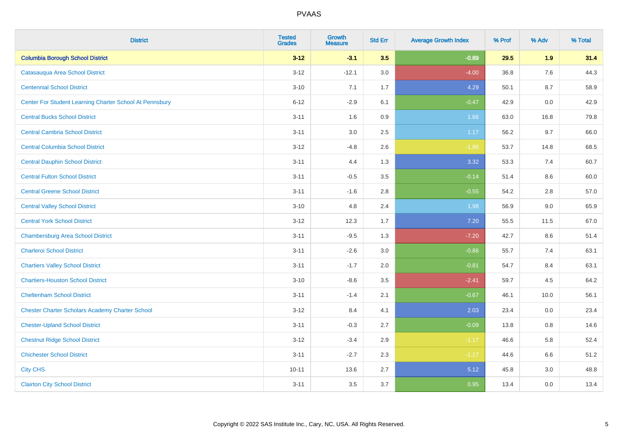| <b>District</b>                                         | <b>Tested</b><br><b>Grades</b> | <b>Growth</b><br><b>Measure</b> | <b>Std Err</b> | <b>Average Growth Index</b> | % Prof | % Adv | % Total |
|---------------------------------------------------------|--------------------------------|---------------------------------|----------------|-----------------------------|--------|-------|---------|
| <b>Columbia Borough School District</b>                 | $3 - 12$                       | $-3.1$                          | 3.5            | $-0.89$                     | 29.5   | 1.9   | 31.4    |
| Catasaugua Area School District                         | $3 - 12$                       | $-12.1$                         | 3.0            | $-4.00$                     | 36.8   | 7.6   | 44.3    |
| <b>Centennial School District</b>                       | $3 - 10$                       | 7.1                             | 1.7            | 4.29                        | 50.1   | 8.7   | 58.9    |
| Center For Student Learning Charter School At Pennsbury | $6 - 12$                       | $-2.9$                          | 6.1            | $-0.47$                     | 42.9   | 0.0   | 42.9    |
| <b>Central Bucks School District</b>                    | $3 - 11$                       | 1.6                             | 0.9            | 1.66                        | 63.0   | 16.8  | 79.8    |
| <b>Central Cambria School District</b>                  | $3 - 11$                       | 3.0                             | 2.5            | 1.17                        | 56.2   | 9.7   | 66.0    |
| <b>Central Columbia School District</b>                 | $3 - 12$                       | $-4.8$                          | 2.6            | $-1.86$                     | 53.7   | 14.8  | 68.5    |
| <b>Central Dauphin School District</b>                  | $3 - 11$                       | 4.4                             | 1.3            | 3.32                        | 53.3   | 7.4   | 60.7    |
| <b>Central Fulton School District</b>                   | $3 - 11$                       | $-0.5$                          | 3.5            | $-0.14$                     | 51.4   | 8.6   | 60.0    |
| <b>Central Greene School District</b>                   | $3 - 11$                       | $-1.6$                          | 2.8            | $-0.55$                     | 54.2   | 2.8   | 57.0    |
| <b>Central Valley School District</b>                   | $3 - 10$                       | 4.8                             | 2.4            | 1.98                        | 56.9   | 9.0   | 65.9    |
| <b>Central York School District</b>                     | $3 - 12$                       | 12.3                            | 1.7            | 7.20                        | 55.5   | 11.5  | 67.0    |
| <b>Chambersburg Area School District</b>                | $3 - 11$                       | $-9.5$                          | 1.3            | $-7.20$                     | 42.7   | 8.6   | 51.4    |
| <b>Charleroi School District</b>                        | $3 - 11$                       | $-2.6$                          | 3.0            | $-0.86$                     | 55.7   | 7.4   | 63.1    |
| <b>Chartiers Valley School District</b>                 | $3 - 11$                       | $-1.7$                          | 2.0            | $-0.81$                     | 54.7   | 8.4   | 63.1    |
| <b>Chartiers-Houston School District</b>                | $3 - 10$                       | $-8.6$                          | 3.5            | $-2.41$                     | 59.7   | 4.5   | 64.2    |
| <b>Cheltenham School District</b>                       | $3 - 11$                       | $-1.4$                          | 2.1            | $-0.67$                     | 46.1   | 10.0  | 56.1    |
| <b>Chester Charter Scholars Academy Charter School</b>  | $3 - 12$                       | 8.4                             | 4.1            | 2.03                        | 23.4   | 0.0   | 23.4    |
| <b>Chester-Upland School District</b>                   | $3 - 11$                       | $-0.3$                          | 2.7            | $-0.09$                     | 13.8   | 0.8   | 14.6    |
| <b>Chestnut Ridge School District</b>                   | $3 - 12$                       | $-3.4$                          | 2.9            | $-1.17$                     | 46.6   | 5.8   | 52.4    |
| <b>Chichester School District</b>                       | $3 - 11$                       | $-2.7$                          | 2.3            | $-1.17$                     | 44.6   | 6.6   | 51.2    |
| <b>City CHS</b>                                         | $10 - 11$                      | 13.6                            | 2.7            | 5.12                        | 45.8   | 3.0   | 48.8    |
| <b>Clairton City School District</b>                    | $3 - 11$                       | 3.5                             | 3.7            | 0.95                        | 13.4   | 0.0   | 13.4    |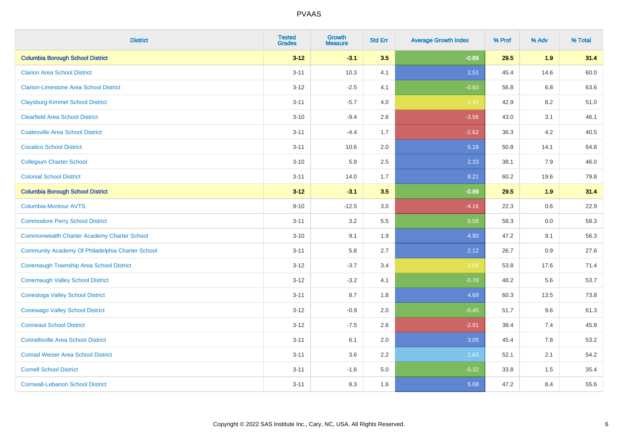| <b>District</b>                                    | <b>Tested</b><br><b>Grades</b> | <b>Growth</b><br><b>Measure</b> | <b>Std Err</b> | <b>Average Growth Index</b> | % Prof | % Adv | % Total |
|----------------------------------------------------|--------------------------------|---------------------------------|----------------|-----------------------------|--------|-------|---------|
| <b>Columbia Borough School District</b>            | $3 - 12$                       | $-3.1$                          | 3.5            | $-0.89$                     | 29.5   | 1.9   | 31.4    |
| <b>Clarion Area School District</b>                | $3 - 11$                       | 10.3                            | 4.1            | 2.51                        | 45.4   | 14.6  | 60.0    |
| <b>Clarion-Limestone Area School District</b>      | $3 - 12$                       | $-2.5$                          | 4.1            | $-0.60$                     | 56.8   | 6.8   | 63.6    |
| <b>Claysburg-Kimmel School District</b>            | $3 - 11$                       | $-5.7$                          | 4.0            | $-1.42$                     | 42.9   | 8.2   | 51.0    |
| <b>Clearfield Area School District</b>             | $3 - 10$                       | $-9.4$                          | 2.6            | $-3.56$                     | 43.0   | 3.1   | 46.1    |
| <b>Coatesville Area School District</b>            | $3 - 11$                       | $-4.4$                          | 1.7            | $-2.62$                     | 36.3   | 4.2   | 40.5    |
| <b>Cocalico School District</b>                    | $3 - 11$                       | 10.6                            | 2.0            | 5.18                        | 50.8   | 14.1  | 64.8    |
| <b>Collegium Charter School</b>                    | $3 - 10$                       | 5.9                             | 2.5            | 2.33                        | 38.1   | 7.9   | 46.0    |
| <b>Colonial School District</b>                    | $3 - 11$                       | 14.0                            | 1.7            | 8.21                        | 60.2   | 19.6  | 79.8    |
| <b>Columbia Borough School District</b>            | $3 - 12$                       | $-3.1$                          | 3.5            | $-0.89$                     | 29.5   | 1.9   | 31.4    |
| Columbia-Montour AVTS                              | $9 - 10$                       | $-12.5$                         | 3.0            | $-4.16$                     | 22.3   | 0.6   | 22.9    |
| <b>Commodore Perry School District</b>             | $3 - 11$                       | 3.2                             | 5.5            | 0.58                        | 58.3   | 0.0   | 58.3    |
| <b>Commonwealth Charter Academy Charter School</b> | $3 - 10$                       | 9.1                             | 1.9            | 4.90                        | 47.2   | 9.1   | 56.3    |
| Community Academy Of Philadelphia Charter School   | $3 - 11$                       | 5.8                             | 2.7            | 2.12                        | 26.7   | 0.9   | 27.6    |
| Conemaugh Township Area School District            | $3 - 12$                       | $-3.7$                          | 3.4            | $-1.09$                     | 53.8   | 17.6  | 71.4    |
| <b>Conemaugh Valley School District</b>            | $3-12$                         | $-3.2$                          | 4.1            | $-0.78$                     | 48.2   | 5.6   | 53.7    |
| <b>Conestoga Valley School District</b>            | $3 - 11$                       | 8.7                             | 1.8            | 4.69                        | 60.3   | 13.5  | 73.8    |
| <b>Conewago Valley School District</b>             | $3 - 12$                       | $-0.9$                          | 2.0            | $-0.45$                     | 51.7   | 9.6   | 61.3    |
| <b>Conneaut School District</b>                    | $3-12$                         | $-7.5$                          | 2.6            | $-2.91$                     | 38.4   | 7.4   | 45.8    |
| <b>Connellsville Area School District</b>          | $3 - 11$                       | 6.1                             | 2.0            | 3.05                        | 45.4   | 7.8   | 53.2    |
| <b>Conrad Weiser Area School District</b>          | $3 - 11$                       | 3.6                             | 2.2            | 1.63                        | 52.1   | 2.1   | 54.2    |
| <b>Cornell School District</b>                     | $3 - 11$                       | $-1.6$                          | 5.0            | $-0.32$                     | 33.8   | 1.5   | 35.4    |
| <b>Cornwall-Lebanon School District</b>            | $3 - 11$                       | 8.3                             | 1.6            | 5.08                        | 47.2   | 8.4   | 55.6    |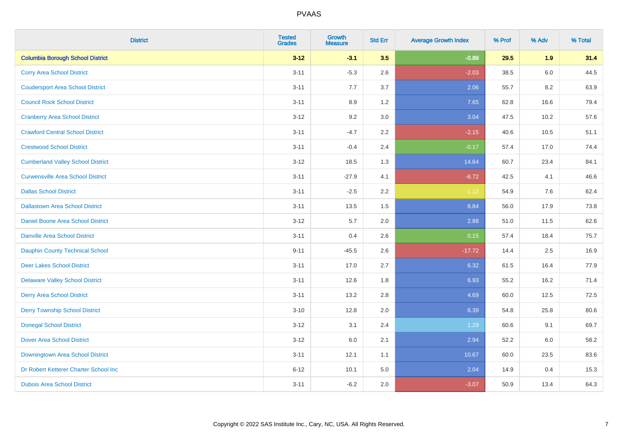| <b>District</b>                          | <b>Tested</b><br><b>Grades</b> | <b>Growth</b><br><b>Measure</b> | <b>Std Err</b> | <b>Average Growth Index</b> | % Prof | % Adv | % Total |
|------------------------------------------|--------------------------------|---------------------------------|----------------|-----------------------------|--------|-------|---------|
| <b>Columbia Borough School District</b>  | $3 - 12$                       | $-3.1$                          | 3.5            | $-0.89$                     | 29.5   | 1.9   | 31.4    |
| <b>Corry Area School District</b>        | $3 - 11$                       | $-5.3$                          | 2.6            | $-2.03$                     | 38.5   | 6.0   | 44.5    |
| <b>Coudersport Area School District</b>  | $3 - 11$                       | 7.7                             | 3.7            | 2.06                        | 55.7   | 8.2   | 63.9    |
| <b>Council Rock School District</b>      | $3 - 11$                       | 8.9                             | 1.2            | 7.65                        | 62.8   | 16.6  | 79.4    |
| <b>Cranberry Area School District</b>    | $3 - 12$                       | 9.2                             | 3.0            | 3.04                        | 47.5   | 10.2  | 57.6    |
| <b>Crawford Central School District</b>  | $3 - 11$                       | $-4.7$                          | 2.2            | $-2.15$                     | 40.6   | 10.5  | 51.1    |
| <b>Crestwood School District</b>         | $3 - 11$                       | $-0.4$                          | 2.4            | $-0.17$                     | 57.4   | 17.0  | 74.4    |
| <b>Cumberland Valley School District</b> | $3 - 12$                       | 18.5                            | 1.3            | 14.64                       | 60.7   | 23.4  | 84.1    |
| <b>Curwensville Area School District</b> | $3 - 11$                       | $-27.9$                         | 4.1            | $-6.72$                     | 42.5   | 4.1   | 46.6    |
| <b>Dallas School District</b>            | $3 - 11$                       | $-2.5$                          | 2.2            | $-1.12$                     | 54.9   | 7.6   | 62.4    |
| <b>Dallastown Area School District</b>   | $3 - 11$                       | 13.5                            | 1.5            | 8.84                        | 56.0   | 17.9  | 73.8    |
| <b>Daniel Boone Area School District</b> | $3-12$                         | 5.7                             | 2.0            | 2.88                        | 51.0   | 11.5  | 62.6    |
| Danville Area School District            | $3 - 11$                       | 0.4                             | 2.6            | 0.15                        | 57.4   | 18.4  | 75.7    |
| <b>Dauphin County Technical School</b>   | $9 - 11$                       | $-45.5$                         | 2.6            | $-17.72$                    | 14.4   | 2.5   | 16.9    |
| <b>Deer Lakes School District</b>        | $3 - 11$                       | 17.0                            | 2.7            | 6.32                        | 61.5   | 16.4  | 77.9    |
| <b>Delaware Valley School District</b>   | $3 - 11$                       | 12.6                            | 1.8            | 6.93                        | 55.2   | 16.2  | 71.4    |
| <b>Derry Area School District</b>        | $3 - 11$                       | 13.2                            | 2.8            | 4.69                        | 60.0   | 12.5  | 72.5    |
| <b>Derry Township School District</b>    | $3 - 10$                       | 12.8                            | 2.0            | 6.39                        | 54.8   | 25.8  | 80.6    |
| <b>Donegal School District</b>           | $3-12$                         | 3.1                             | 2.4            | 1.29                        | 60.6   | 9.1   | 69.7    |
| Dover Area School District               | $3 - 12$                       | 6.0                             | 2.1            | 2.94                        | 52.2   | 6.0   | 58.2    |
| Downingtown Area School District         | $3 - 11$                       | 12.1                            | 1.1            | 10.67                       | 60.0   | 23.5  | 83.6    |
| Dr Robert Ketterer Charter School Inc    | $6 - 12$                       | 10.1                            | 5.0            | 2.04                        | 14.9   | 0.4   | 15.3    |
| <b>Dubois Area School District</b>       | $3 - 11$                       | $-6.2$                          | 2.0            | $-3.07$                     | 50.9   | 13.4  | 64.3    |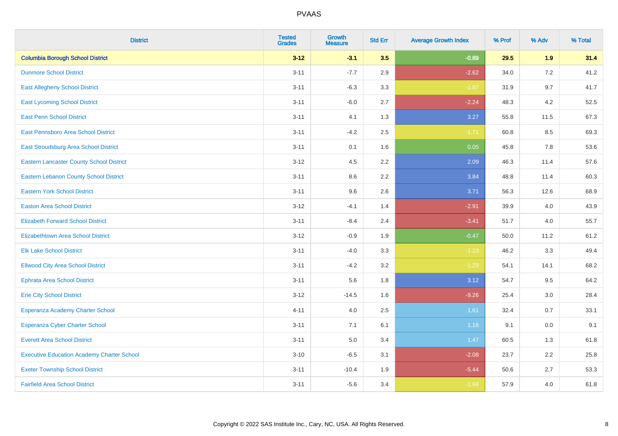| <b>District</b>                                   | <b>Tested</b><br><b>Grades</b> | <b>Growth</b><br><b>Measure</b> | <b>Std Err</b> | <b>Average Growth Index</b> | % Prof | % Adv | % Total |
|---------------------------------------------------|--------------------------------|---------------------------------|----------------|-----------------------------|--------|-------|---------|
| <b>Columbia Borough School District</b>           | $3 - 12$                       | $-3.1$                          | 3.5            | $-0.89$                     | 29.5   | 1.9   | 31.4    |
| <b>Dunmore School District</b>                    | $3 - 11$                       | $-7.7$                          | 2.9            | $-2.62$                     | 34.0   | 7.2   | 41.2    |
| <b>East Allegheny School District</b>             | $3 - 11$                       | $-6.3$                          | 3.3            | $-1.87$                     | 31.9   | 9.7   | 41.7    |
| <b>East Lycoming School District</b>              | $3 - 11$                       | $-6.0$                          | 2.7            | $-2.24$                     | 48.3   | 4.2   | 52.5    |
| <b>East Penn School District</b>                  | $3 - 11$                       | 4.1                             | 1.3            | 3.27                        | 55.8   | 11.5  | 67.3    |
| <b>East Pennsboro Area School District</b>        | $3 - 11$                       | $-4.2$                          | 2.5            | $-1.71$                     | 60.8   | 8.5   | 69.3    |
| East Stroudsburg Area School District             | $3 - 11$                       | 0.1                             | 1.6            | 0.05                        | 45.8   | 7.8   | 53.6    |
| <b>Eastern Lancaster County School District</b>   | $3 - 12$                       | 4.5                             | 2.2            | 2.09                        | 46.3   | 11.4  | 57.6    |
| <b>Eastern Lebanon County School District</b>     | $3 - 11$                       | 8.6                             | 2.2            | 3.84                        | 48.8   | 11.4  | 60.3    |
| <b>Eastern York School District</b>               | $3 - 11$                       | 9.6                             | 2.6            | 3.71                        | 56.3   | 12.6  | 68.9    |
| <b>Easton Area School District</b>                | $3 - 12$                       | $-4.1$                          | 1.4            | $-2.91$                     | 39.9   | 4.0   | 43.9    |
| <b>Elizabeth Forward School District</b>          | $3 - 11$                       | $-8.4$                          | 2.4            | $-3.41$                     | 51.7   | 4.0   | 55.7    |
| Elizabethtown Area School District                | $3 - 12$                       | $-0.9$                          | 1.9            | $-0.47$                     | 50.0   | 11.2  | 61.2    |
| <b>Elk Lake School District</b>                   | $3 - 11$                       | $-4.0$                          | 3.3            | $-1.23$                     | 46.2   | 3.3   | 49.4    |
| <b>Ellwood City Area School District</b>          | $3 - 11$                       | $-4.2$                          | 3.2            | $-1.29$                     | 54.1   | 14.1  | 68.2    |
| <b>Ephrata Area School District</b>               | $3 - 11$                       | 5.6                             | 1.8            | 3.12                        | 54.7   | 9.5   | 64.2    |
| <b>Erie City School District</b>                  | $3 - 12$                       | $-14.5$                         | 1.6            | $-9.26$                     | 25.4   | 3.0   | 28.4    |
| Esperanza Academy Charter School                  | $4 - 11$                       | 4.0                             | 2.5            | 1.61                        | 32.4   | 0.7   | 33.1    |
| <b>Esperanza Cyber Charter School</b>             | $3 - 11$                       | 7.1                             | 6.1            | 1.16                        | 9.1    | 0.0   | 9.1     |
| <b>Everett Area School District</b>               | $3 - 11$                       | 5.0                             | 3.4            | 1.47                        | 60.5   | 1.3   | 61.8    |
| <b>Executive Education Academy Charter School</b> | $3 - 10$                       | $-6.5$                          | 3.1            | $-2.08$                     | 23.7   | 2.2   | 25.8    |
| <b>Exeter Township School District</b>            | $3 - 11$                       | $-10.4$                         | 1.9            | $-5.44$                     | 50.6   | 2.7   | 53.3    |
| <b>Fairfield Area School District</b>             | $3 - 11$                       | $-5.6$                          | 3.4            | $-1.66$                     | 57.9   | 4.0   | 61.8    |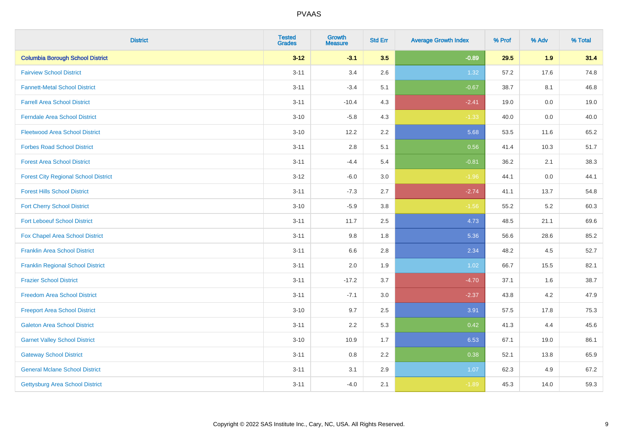| <b>District</b>                             | <b>Tested</b><br><b>Grades</b> | <b>Growth</b><br><b>Measure</b> | <b>Std Err</b> | <b>Average Growth Index</b> | % Prof | % Adv   | % Total |
|---------------------------------------------|--------------------------------|---------------------------------|----------------|-----------------------------|--------|---------|---------|
| <b>Columbia Borough School District</b>     | $3 - 12$                       | $-3.1$                          | 3.5            | $-0.89$                     | 29.5   | 1.9     | 31.4    |
| <b>Fairview School District</b>             | $3 - 11$                       | 3.4                             | 2.6            | 1.32                        | 57.2   | 17.6    | 74.8    |
| <b>Fannett-Metal School District</b>        | $3 - 11$                       | $-3.4$                          | 5.1            | $-0.67$                     | 38.7   | 8.1     | 46.8    |
| <b>Farrell Area School District</b>         | $3 - 11$                       | $-10.4$                         | 4.3            | $-2.41$                     | 19.0   | $0.0\,$ | 19.0    |
| <b>Ferndale Area School District</b>        | $3 - 10$                       | $-5.8$                          | 4.3            | $-1.33$                     | 40.0   | 0.0     | 40.0    |
| <b>Fleetwood Area School District</b>       | $3 - 10$                       | 12.2                            | 2.2            | 5.68                        | 53.5   | 11.6    | 65.2    |
| <b>Forbes Road School District</b>          | $3 - 11$                       | 2.8                             | 5.1            | 0.56                        | 41.4   | 10.3    | 51.7    |
| <b>Forest Area School District</b>          | $3 - 11$                       | $-4.4$                          | 5.4            | $-0.81$                     | 36.2   | 2.1     | 38.3    |
| <b>Forest City Regional School District</b> | $3 - 12$                       | $-6.0$                          | 3.0            | $-1.96$                     | 44.1   | $0.0\,$ | 44.1    |
| <b>Forest Hills School District</b>         | $3 - 11$                       | $-7.3$                          | 2.7            | $-2.74$                     | 41.1   | 13.7    | 54.8    |
| <b>Fort Cherry School District</b>          | $3 - 10$                       | $-5.9$                          | 3.8            | $-1.56$                     | 55.2   | 5.2     | 60.3    |
| <b>Fort Leboeuf School District</b>         | $3 - 11$                       | 11.7                            | 2.5            | 4.73                        | 48.5   | 21.1    | 69.6    |
| <b>Fox Chapel Area School District</b>      | $3 - 11$                       | 9.8                             | 1.8            | 5.36                        | 56.6   | 28.6    | 85.2    |
| <b>Franklin Area School District</b>        | $3 - 11$                       | 6.6                             | 2.8            | 2.34                        | 48.2   | 4.5     | 52.7    |
| <b>Franklin Regional School District</b>    | $3 - 11$                       | 2.0                             | 1.9            | 1.02                        | 66.7   | 15.5    | 82.1    |
| <b>Frazier School District</b>              | $3 - 11$                       | $-17.2$                         | 3.7            | $-4.70$                     | 37.1   | 1.6     | 38.7    |
| <b>Freedom Area School District</b>         | $3 - 11$                       | $-7.1$                          | 3.0            | $-2.37$                     | 43.8   | $4.2\,$ | 47.9    |
| <b>Freeport Area School District</b>        | $3 - 10$                       | 9.7                             | 2.5            | 3.91                        | 57.5   | 17.8    | 75.3    |
| <b>Galeton Area School District</b>         | $3 - 11$                       | 2.2                             | 5.3            | 0.42                        | 41.3   | 4.4     | 45.6    |
| <b>Garnet Valley School District</b>        | $3 - 10$                       | 10.9                            | 1.7            | 6.53                        | 67.1   | 19.0    | 86.1    |
| <b>Gateway School District</b>              | $3 - 11$                       | 0.8                             | 2.2            | 0.38                        | 52.1   | 13.8    | 65.9    |
| <b>General Mclane School District</b>       | $3 - 11$                       | 3.1                             | 2.9            | 1.07                        | 62.3   | 4.9     | 67.2    |
| <b>Gettysburg Area School District</b>      | $3 - 11$                       | $-4.0$                          | 2.1            | $-1.89$                     | 45.3   | 14.0    | 59.3    |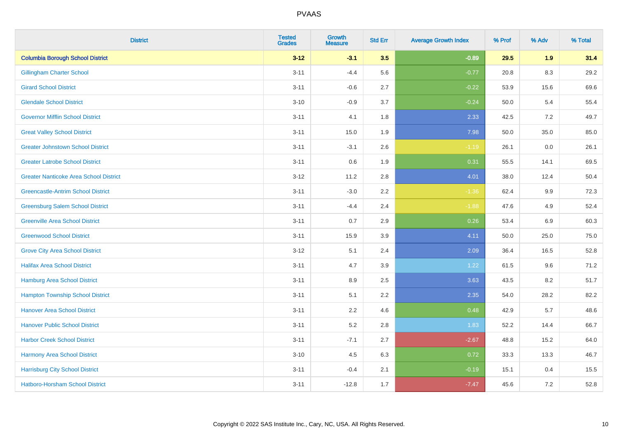| <b>District</b>                               | <b>Tested</b><br><b>Grades</b> | Growth<br><b>Measure</b> | <b>Std Err</b> | <b>Average Growth Index</b> | % Prof | % Adv   | % Total |
|-----------------------------------------------|--------------------------------|--------------------------|----------------|-----------------------------|--------|---------|---------|
| <b>Columbia Borough School District</b>       | $3 - 12$                       | $-3.1$                   | 3.5            | $-0.89$                     | 29.5   | 1.9     | 31.4    |
| <b>Gillingham Charter School</b>              | $3 - 11$                       | $-4.4$                   | 5.6            | $-0.77$                     | 20.8   | 8.3     | 29.2    |
| <b>Girard School District</b>                 | $3 - 11$                       | $-0.6$                   | 2.7            | $-0.22$                     | 53.9   | 15.6    | 69.6    |
| <b>Glendale School District</b>               | $3 - 10$                       | $-0.9$                   | 3.7            | $-0.24$                     | 50.0   | 5.4     | 55.4    |
| <b>Governor Mifflin School District</b>       | $3 - 11$                       | 4.1                      | 1.8            | 2.33                        | 42.5   | 7.2     | 49.7    |
| <b>Great Valley School District</b>           | $3 - 11$                       | 15.0                     | 1.9            | 7.98                        | 50.0   | 35.0    | 85.0    |
| <b>Greater Johnstown School District</b>      | $3 - 11$                       | $-3.1$                   | 2.6            | $-1.19$                     | 26.1   | $0.0\,$ | 26.1    |
| <b>Greater Latrobe School District</b>        | $3 - 11$                       | 0.6                      | 1.9            | 0.31                        | 55.5   | 14.1    | 69.5    |
| <b>Greater Nanticoke Area School District</b> | $3 - 12$                       | 11.2                     | 2.8            | 4.01                        | 38.0   | 12.4    | 50.4    |
| <b>Greencastle-Antrim School District</b>     | $3 - 11$                       | $-3.0$                   | $2.2\,$        | $-1.36$                     | 62.4   | 9.9     | 72.3    |
| <b>Greensburg Salem School District</b>       | $3 - 11$                       | $-4.4$                   | 2.4            | $-1.88$                     | 47.6   | 4.9     | 52.4    |
| <b>Greenville Area School District</b>        | $3 - 11$                       | 0.7                      | 2.9            | 0.26                        | 53.4   | 6.9     | 60.3    |
| <b>Greenwood School District</b>              | $3 - 11$                       | 15.9                     | 3.9            | 4.11                        | 50.0   | 25.0    | 75.0    |
| <b>Grove City Area School District</b>        | $3 - 12$                       | 5.1                      | 2.4            | 2.09                        | 36.4   | 16.5    | 52.8    |
| <b>Halifax Area School District</b>           | $3 - 11$                       | 4.7                      | 3.9            | 1.22                        | 61.5   | 9.6     | 71.2    |
| Hamburg Area School District                  | $3 - 11$                       | 8.9                      | 2.5            | 3.63                        | 43.5   | 8.2     | 51.7    |
| <b>Hampton Township School District</b>       | $3 - 11$                       | 5.1                      | 2.2            | 2.35                        | 54.0   | 28.2    | 82.2    |
| <b>Hanover Area School District</b>           | $3 - 11$                       | 2.2                      | 4.6            | 0.48                        | 42.9   | 5.7     | 48.6    |
| <b>Hanover Public School District</b>         | $3 - 11$                       | 5.2                      | 2.8            | 1.83                        | 52.2   | 14.4    | 66.7    |
| <b>Harbor Creek School District</b>           | $3 - 11$                       | $-7.1$                   | 2.7            | $-2.67$                     | 48.8   | 15.2    | 64.0    |
| Harmony Area School District                  | $3 - 10$                       | 4.5                      | 6.3            | 0.72                        | 33.3   | 13.3    | 46.7    |
| <b>Harrisburg City School District</b>        | $3 - 11$                       | $-0.4$                   | 2.1            | $-0.19$                     | 15.1   | 0.4     | 15.5    |
| Hatboro-Horsham School District               | $3 - 11$                       | $-12.8$                  | 1.7            | $-7.47$                     | 45.6   | 7.2     | 52.8    |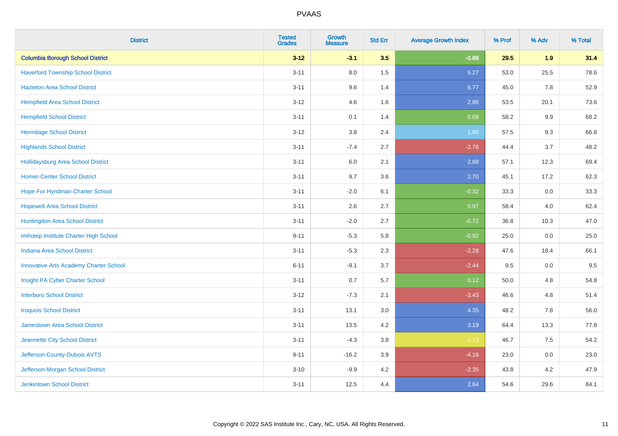| <b>District</b>                               | <b>Tested</b><br><b>Grades</b> | <b>Growth</b><br><b>Measure</b> | <b>Std Err</b> | <b>Average Growth Index</b> | % Prof | % Adv   | % Total |
|-----------------------------------------------|--------------------------------|---------------------------------|----------------|-----------------------------|--------|---------|---------|
| <b>Columbia Borough School District</b>       | $3 - 12$                       | $-3.1$                          | 3.5            | $-0.89$                     | 29.5   | 1.9     | 31.4    |
| <b>Haverford Township School District</b>     | $3 - 11$                       | 8.0                             | 1.5            | 5.27                        | 53.0   | 25.5    | 78.6    |
| <b>Hazleton Area School District</b>          | $3 - 11$                       | 9.6                             | 1.4            | 6.77                        | 45.0   | 7.8     | 52.9    |
| <b>Hempfield Area School District</b>         | $3 - 12$                       | 4.6                             | 1.6            | 2.86                        | 53.5   | 20.1    | 73.6    |
| <b>Hempfield School District</b>              | $3 - 11$                       | 0.1                             | 1.4            | 0.08                        | 58.2   | 9.9     | 68.2    |
| <b>Hermitage School District</b>              | $3 - 12$                       | 3.8                             | 2.4            | 1.60                        | 57.5   | 9.3     | 66.8    |
| <b>Highlands School District</b>              | $3 - 11$                       | $-7.4$                          | 2.7            | $-2.76$                     | 44.4   | 3.7     | 48.2    |
| Hollidaysburg Area School District            | $3 - 11$                       | 6.0                             | 2.1            | 2.88                        | 57.1   | 12.3    | 69.4    |
| <b>Homer-Center School District</b>           | $3 - 11$                       | 9.7                             | 3.6            | 2.70                        | 45.1   | 17.2    | 62.3    |
| Hope For Hyndman Charter School               | $3 - 11$                       | $-2.0$                          | 6.1            | $-0.32$                     | 33.3   | 0.0     | 33.3    |
| <b>Hopewell Area School District</b>          | $3 - 11$                       | 2.6                             | 2.7            | 0.97                        | 58.4   | 4.0     | 62.4    |
| Huntingdon Area School District               | $3 - 11$                       | $-2.0$                          | 2.7            | $-0.72$                     | 36.8   | 10.3    | 47.0    |
| Imhotep Institute Charter High School         | $9 - 11$                       | $-5.3$                          | 5.8            | $-0.92$                     | 25.0   | $0.0\,$ | 25.0    |
| Indiana Area School District                  | $3 - 11$                       | $-5.3$                          | 2.3            | $-2.28$                     | 47.6   | 18.4    | 66.1    |
| <b>Innovative Arts Academy Charter School</b> | $6 - 11$                       | $-9.1$                          | 3.7            | $-2.44$                     | 9.5    | $0.0\,$ | 9.5     |
| Insight PA Cyber Charter School               | $3 - 11$                       | 0.7                             | 5.7            | 0.12                        | 50.0   | 4.8     | 54.8    |
| <b>Interboro School District</b>              | $3 - 12$                       | $-7.3$                          | 2.1            | $-3.43$                     | 46.6   | 4.8     | 51.4    |
| <b>Iroquois School District</b>               | $3 - 11$                       | 13.1                            | 3.0            | 4.35                        | 48.2   | 7.8     | 56.0    |
| <b>Jamestown Area School District</b>         | $3 - 11$                       | 13.5                            | 4.2            | 3.19                        | 64.4   | 13.3    | 77.8    |
| Jeannette City School District                | $3 - 11$                       | $-4.3$                          | $3.8\,$        | $-1.13$                     | 46.7   | 7.5     | 54.2    |
| Jefferson County-Dubois AVTS                  | $9 - 11$                       | $-16.2$                         | 3.9            | $-4.16$                     | 23.0   | 0.0     | 23.0    |
| Jefferson-Morgan School District              | $3 - 10$                       | $-9.9$                          | 4.2            | $-2.35$                     | 43.8   | 4.2     | 47.9    |
| <b>Jenkintown School District</b>             | $3 - 11$                       | 12.5                            | 4.4            | 2.84                        | 54.6   | 29.6    | 84.1    |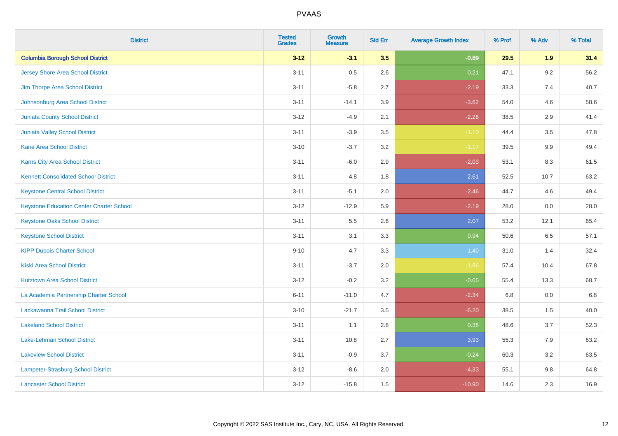| <b>District</b>                                 | <b>Tested</b><br><b>Grades</b> | <b>Growth</b><br><b>Measure</b> | <b>Std Err</b> | <b>Average Growth Index</b> | % Prof | % Adv   | % Total |
|-------------------------------------------------|--------------------------------|---------------------------------|----------------|-----------------------------|--------|---------|---------|
| <b>Columbia Borough School District</b>         | $3 - 12$                       | $-3.1$                          | 3.5            | $-0.89$                     | 29.5   | 1.9     | 31.4    |
| <b>Jersey Shore Area School District</b>        | $3 - 11$                       | 0.5                             | 2.6            | 0.21                        | 47.1   | $9.2\,$ | 56.2    |
| Jim Thorpe Area School District                 | $3 - 11$                       | $-5.8$                          | 2.7            | $-2.19$                     | 33.3   | 7.4     | 40.7    |
| Johnsonburg Area School District                | $3 - 11$                       | $-14.1$                         | 3.9            | $-3.62$                     | 54.0   | 4.6     | 58.6    |
| Juniata County School District                  | $3 - 12$                       | $-4.9$                          | 2.1            | $-2.26$                     | 38.5   | 2.9     | 41.4    |
| <b>Juniata Valley School District</b>           | $3 - 11$                       | $-3.9$                          | 3.5            | $-1.10$                     | 44.4   | 3.5     | 47.8    |
| <b>Kane Area School District</b>                | $3 - 10$                       | $-3.7$                          | 3.2            | $-1.17$                     | 39.5   | 9.9     | 49.4    |
| <b>Karns City Area School District</b>          | $3 - 11$                       | $-6.0$                          | 2.9            | $-2.03$                     | 53.1   | 8.3     | 61.5    |
| <b>Kennett Consolidated School District</b>     | $3 - 11$                       | 4.8                             | 1.8            | 2.61                        | 52.5   | 10.7    | 63.2    |
| <b>Keystone Central School District</b>         | $3 - 11$                       | $-5.1$                          | 2.0            | $-2.46$                     | 44.7   | 4.6     | 49.4    |
| <b>Keystone Education Center Charter School</b> | $3 - 12$                       | $-12.9$                         | 5.9            | $-2.19$                     | 28.0   | 0.0     | 28.0    |
| <b>Keystone Oaks School District</b>            | $3 - 11$                       | 5.5                             | 2.6            | 2.07                        | 53.2   | 12.1    | 65.4    |
| <b>Keystone School District</b>                 | $3 - 11$                       | 3.1                             | 3.3            | 0.94                        | 50.6   | 6.5     | 57.1    |
| <b>KIPP Dubois Charter School</b>               | $9 - 10$                       | 4.7                             | 3.3            | 1.40                        | 31.0   | 1.4     | 32.4    |
| <b>Kiski Area School District</b>               | $3 - 11$                       | $-3.7$                          | 2.0            | $-1.86$                     | 57.4   | 10.4    | 67.8    |
| <b>Kutztown Area School District</b>            | $3 - 12$                       | $-0.2$                          | 3.2            | $-0.05$                     | 55.4   | 13.3    | 68.7    |
| La Academia Partnership Charter School          | $6 - 11$                       | $-11.0$                         | 4.7            | $-2.34$                     | 6.8    | 0.0     | 6.8     |
| Lackawanna Trail School District                | $3 - 10$                       | $-21.7$                         | 3.5            | $-6.20$                     | 38.5   | 1.5     | 40.0    |
| <b>Lakeland School District</b>                 | $3 - 11$                       | 1.1                             | $2.8\,$        | 0.38                        | 48.6   | 3.7     | 52.3    |
| Lake-Lehman School District                     | $3 - 11$                       | 10.8                            | 2.7            | 3.93                        | 55.3   | 7.9     | 63.2    |
| <b>Lakeview School District</b>                 | $3 - 11$                       | $-0.9$                          | 3.7            | $-0.24$                     | 60.3   | 3.2     | 63.5    |
| Lampeter-Strasburg School District              | $3 - 12$                       | $-8.6$                          | 2.0            | $-4.33$                     | 55.1   | $9.8\,$ | 64.8    |
| <b>Lancaster School District</b>                | $3 - 12$                       | $-15.8$                         | 1.5            | $-10.90$                    | 14.6   | 2.3     | 16.9    |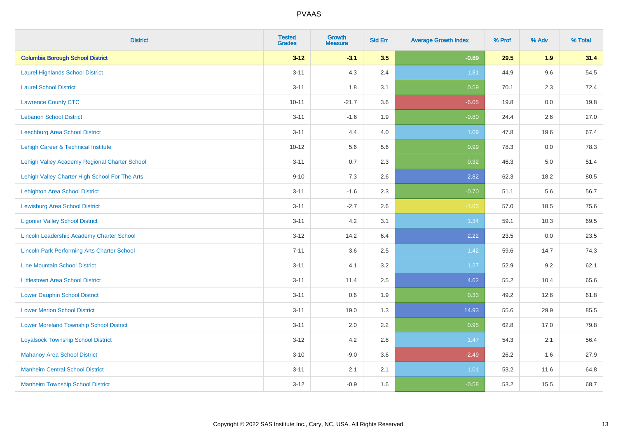| <b>District</b>                                    | <b>Tested</b><br><b>Grades</b> | <b>Growth</b><br><b>Measure</b> | <b>Std Err</b> | <b>Average Growth Index</b> | % Prof | % Adv   | % Total |
|----------------------------------------------------|--------------------------------|---------------------------------|----------------|-----------------------------|--------|---------|---------|
| <b>Columbia Borough School District</b>            | $3 - 12$                       | $-3.1$                          | 3.5            | $-0.89$                     | 29.5   | 1.9     | 31.4    |
| <b>Laurel Highlands School District</b>            | $3 - 11$                       | 4.3                             | 2.4            | 1.81                        | 44.9   | 9.6     | 54.5    |
| <b>Laurel School District</b>                      | $3 - 11$                       | 1.8                             | 3.1            | 0.59                        | 70.1   | 2.3     | 72.4    |
| <b>Lawrence County CTC</b>                         | $10 - 11$                      | $-21.7$                         | 3.6            | $-6.05$                     | 19.8   | $0.0\,$ | 19.8    |
| <b>Lebanon School District</b>                     | $3 - 11$                       | $-1.6$                          | 1.9            | $-0.80$                     | 24.4   | 2.6     | 27.0    |
| Leechburg Area School District                     | $3 - 11$                       | 4.4                             | 4.0            | 1.09                        | 47.8   | 19.6    | 67.4    |
| Lehigh Career & Technical Institute                | $10 - 12$                      | 5.6                             | 5.6            | 0.99                        | 78.3   | 0.0     | 78.3    |
| Lehigh Valley Academy Regional Charter School      | $3 - 11$                       | 0.7                             | 2.3            | 0.32                        | 46.3   | 5.0     | 51.4    |
| Lehigh Valley Charter High School For The Arts     | $9 - 10$                       | 7.3                             | 2.6            | 2.82                        | 62.3   | 18.2    | 80.5    |
| Lehighton Area School District                     | $3 - 11$                       | $-1.6$                          | 2.3            | $-0.70$                     | 51.1   | 5.6     | 56.7    |
| <b>Lewisburg Area School District</b>              | $3 - 11$                       | $-2.7$                          | 2.6            | $-1.03$                     | 57.0   | 18.5    | 75.6    |
| <b>Ligonier Valley School District</b>             | $3 - 11$                       | 4.2                             | 3.1            | 1.34                        | 59.1   | 10.3    | 69.5    |
| Lincoln Leadership Academy Charter School          | $3-12$                         | 14.2                            | 6.4            | 2.22                        | 23.5   | $0.0\,$ | 23.5    |
| <b>Lincoln Park Performing Arts Charter School</b> | $7 - 11$                       | 3.6                             | 2.5            | 1.42                        | 59.6   | 14.7    | 74.3    |
| <b>Line Mountain School District</b>               | $3 - 11$                       | 4.1                             | 3.2            | 1.27                        | 52.9   | 9.2     | 62.1    |
| <b>Littlestown Area School District</b>            | $3 - 11$                       | 11.4                            | 2.5            | 4.62                        | 55.2   | 10.4    | 65.6    |
| <b>Lower Dauphin School District</b>               | $3 - 11$                       | 0.6                             | 1.9            | 0.33                        | 49.2   | 12.6    | 61.8    |
| <b>Lower Merion School District</b>                | $3 - 11$                       | 19.0                            | 1.3            | 14.93                       | 55.6   | 29.9    | 85.5    |
| <b>Lower Moreland Township School District</b>     | $3 - 11$                       | 2.0                             | 2.2            | 0.95                        | 62.8   | 17.0    | 79.8    |
| <b>Loyalsock Township School District</b>          | $3 - 12$                       | 4.2                             | 2.8            | 1.47                        | 54.3   | 2.1     | 56.4    |
| <b>Mahanoy Area School District</b>                | $3 - 10$                       | $-9.0$                          | 3.6            | $-2.49$                     | 26.2   | 1.6     | 27.9    |
| <b>Manheim Central School District</b>             | $3 - 11$                       | 2.1                             | 2.1            | 1.01                        | 53.2   | 11.6    | 64.8    |
| <b>Manheim Township School District</b>            | $3 - 12$                       | $-0.9$                          | 1.6            | $-0.58$                     | 53.2   | 15.5    | 68.7    |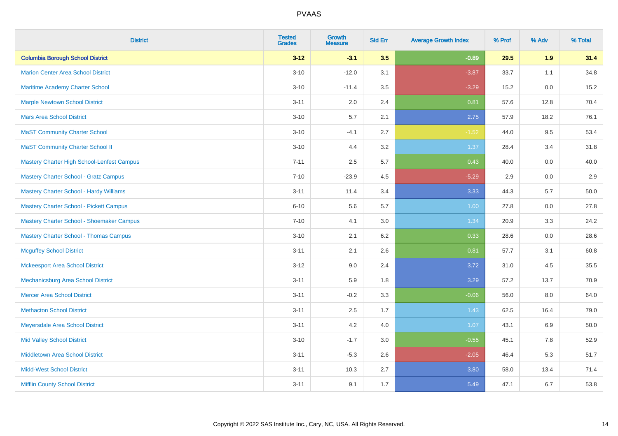| <b>District</b>                                | <b>Tested</b><br><b>Grades</b> | <b>Growth</b><br><b>Measure</b> | <b>Std Err</b> | <b>Average Growth Index</b> | % Prof | % Adv | % Total |
|------------------------------------------------|--------------------------------|---------------------------------|----------------|-----------------------------|--------|-------|---------|
| <b>Columbia Borough School District</b>        | $3 - 12$                       | $-3.1$                          | 3.5            | $-0.89$                     | 29.5   | 1.9   | 31.4    |
| <b>Marion Center Area School District</b>      | $3 - 10$                       | $-12.0$                         | 3.1            | $-3.87$                     | 33.7   | 1.1   | 34.8    |
| Maritime Academy Charter School                | $3 - 10$                       | $-11.4$                         | 3.5            | $-3.29$                     | 15.2   | 0.0   | 15.2    |
| <b>Marple Newtown School District</b>          | $3 - 11$                       | 2.0                             | 2.4            | 0.81                        | 57.6   | 12.8  | 70.4    |
| <b>Mars Area School District</b>               | $3 - 10$                       | 5.7                             | 2.1            | 2.75                        | 57.9   | 18.2  | 76.1    |
| <b>MaST Community Charter School</b>           | $3 - 10$                       | $-4.1$                          | 2.7            | $-1.52$                     | 44.0   | 9.5   | 53.4    |
| <b>MaST Community Charter School II</b>        | $3 - 10$                       | 4.4                             | 3.2            | 1.37                        | 28.4   | 3.4   | 31.8    |
| Mastery Charter High School-Lenfest Campus     | $7 - 11$                       | 2.5                             | 5.7            | 0.43                        | 40.0   | 0.0   | 40.0    |
| <b>Mastery Charter School - Gratz Campus</b>   | $7 - 10$                       | $-23.9$                         | 4.5            | $-5.29$                     | 2.9    | 0.0   | 2.9     |
| <b>Mastery Charter School - Hardy Williams</b> | $3 - 11$                       | 11.4                            | 3.4            | 3.33                        | 44.3   | 5.7   | 50.0    |
| <b>Mastery Charter School - Pickett Campus</b> | $6 - 10$                       | 5.6                             | 5.7            | 1.00                        | 27.8   | 0.0   | 27.8    |
| Mastery Charter School - Shoemaker Campus      | $7 - 10$                       | 4.1                             | 3.0            | 1.34                        | 20.9   | 3.3   | 24.2    |
| <b>Mastery Charter School - Thomas Campus</b>  | $3 - 10$                       | 2.1                             | 6.2            | 0.33                        | 28.6   | 0.0   | 28.6    |
| <b>Mcguffey School District</b>                | $3 - 11$                       | 2.1                             | 2.6            | 0.81                        | 57.7   | 3.1   | 60.8    |
| <b>Mckeesport Area School District</b>         | $3 - 12$                       | 9.0                             | 2.4            | 3.72                        | 31.0   | 4.5   | 35.5    |
| Mechanicsburg Area School District             | $3 - 11$                       | 5.9                             | 1.8            | 3.29                        | 57.2   | 13.7  | 70.9    |
| <b>Mercer Area School District</b>             | $3 - 11$                       | $-0.2$                          | 3.3            | $-0.06$                     | 56.0   | 8.0   | 64.0    |
| <b>Methacton School District</b>               | $3 - 11$                       | 2.5                             | 1.7            | 1.43                        | 62.5   | 16.4  | 79.0    |
| Meyersdale Area School District                | $3 - 11$                       | 4.2                             | 4.0            | 1.07                        | 43.1   | 6.9   | 50.0    |
| <b>Mid Valley School District</b>              | $3 - 10$                       | $-1.7$                          | 3.0            | $-0.55$                     | 45.1   | 7.8   | 52.9    |
| Middletown Area School District                | $3 - 11$                       | $-5.3$                          | 2.6            | $-2.05$                     | 46.4   | 5.3   | 51.7    |
| <b>Midd-West School District</b>               | $3 - 11$                       | 10.3                            | 2.7            | 3.80                        | 58.0   | 13.4  | 71.4    |
| <b>Mifflin County School District</b>          | $3 - 11$                       | 9.1                             | 1.7            | 5.49                        | 47.1   | 6.7   | 53.8    |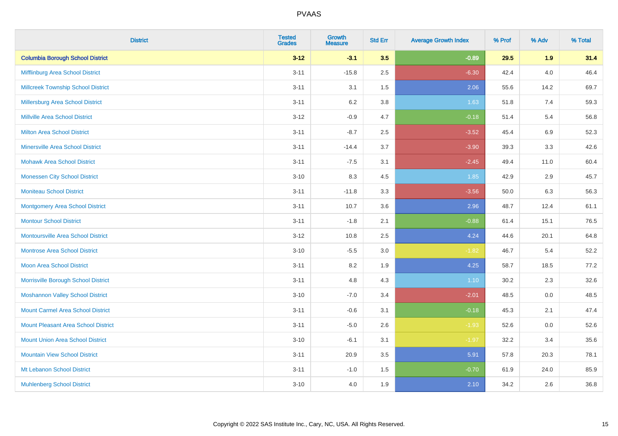| <b>District</b>                            | <b>Tested</b><br><b>Grades</b> | <b>Growth</b><br><b>Measure</b> | <b>Std Err</b> | <b>Average Growth Index</b> | % Prof | % Adv   | % Total |
|--------------------------------------------|--------------------------------|---------------------------------|----------------|-----------------------------|--------|---------|---------|
| <b>Columbia Borough School District</b>    | $3 - 12$                       | $-3.1$                          | 3.5            | $-0.89$                     | 29.5   | 1.9     | 31.4    |
| Mifflinburg Area School District           | $3 - 11$                       | $-15.8$                         | 2.5            | $-6.30$                     | 42.4   | $4.0\,$ | 46.4    |
| <b>Millcreek Township School District</b>  | $3 - 11$                       | 3.1                             | 1.5            | 2.06                        | 55.6   | 14.2    | 69.7    |
| Millersburg Area School District           | $3 - 11$                       | 6.2                             | 3.8            | 1.63                        | 51.8   | 7.4     | 59.3    |
| <b>Millville Area School District</b>      | $3-12$                         | $-0.9$                          | 4.7            | $-0.18$                     | 51.4   | 5.4     | 56.8    |
| <b>Milton Area School District</b>         | $3 - 11$                       | $-8.7$                          | 2.5            | $-3.52$                     | 45.4   | $6.9\,$ | 52.3    |
| <b>Minersville Area School District</b>    | $3 - 11$                       | $-14.4$                         | 3.7            | $-3.90$                     | 39.3   | 3.3     | 42.6    |
| <b>Mohawk Area School District</b>         | $3 - 11$                       | $-7.5$                          | 3.1            | $-2.45$                     | 49.4   | 11.0    | 60.4    |
| <b>Monessen City School District</b>       | $3 - 10$                       | 8.3                             | 4.5            | 1.85                        | 42.9   | 2.9     | 45.7    |
| <b>Moniteau School District</b>            | $3 - 11$                       | $-11.8$                         | 3.3            | $-3.56$                     | 50.0   | 6.3     | 56.3    |
| <b>Montgomery Area School District</b>     | $3 - 11$                       | 10.7                            | 3.6            | 2.96                        | 48.7   | 12.4    | 61.1    |
| <b>Montour School District</b>             | $3 - 11$                       | $-1.8$                          | 2.1            | $-0.88$                     | 61.4   | 15.1    | 76.5    |
| <b>Montoursville Area School District</b>  | $3-12$                         | 10.8                            | 2.5            | 4.24                        | 44.6   | 20.1    | 64.8    |
| <b>Montrose Area School District</b>       | $3 - 10$                       | $-5.5$                          | 3.0            | $-1.82$                     | 46.7   | 5.4     | 52.2    |
| Moon Area School District                  | $3 - 11$                       | 8.2                             | 1.9            | 4.25                        | 58.7   | 18.5    | 77.2    |
| Morrisville Borough School District        | $3 - 11$                       | 4.8                             | 4.3            | 1.10                        | 30.2   | 2.3     | 32.6    |
| <b>Moshannon Valley School District</b>    | $3 - 10$                       | $-7.0$                          | 3.4            | $-2.01$                     | 48.5   | 0.0     | 48.5    |
| <b>Mount Carmel Area School District</b>   | $3 - 11$                       | $-0.6$                          | 3.1            | $-0.18$                     | 45.3   | 2.1     | 47.4    |
| <b>Mount Pleasant Area School District</b> | $3 - 11$                       | $-5.0$                          | 2.6            | $-1.93$                     | 52.6   | 0.0     | 52.6    |
| <b>Mount Union Area School District</b>    | $3 - 10$                       | $-6.1$                          | 3.1            | $-1.97$                     | 32.2   | 3.4     | 35.6    |
| <b>Mountain View School District</b>       | $3 - 11$                       | 20.9                            | 3.5            | 5.91                        | 57.8   | 20.3    | 78.1    |
| Mt Lebanon School District                 | $3 - 11$                       | $-1.0$                          | 1.5            | $-0.70$                     | 61.9   | 24.0    | 85.9    |
| <b>Muhlenberg School District</b>          | $3 - 10$                       | 4.0                             | 1.9            | 2.10                        | 34.2   | 2.6     | 36.8    |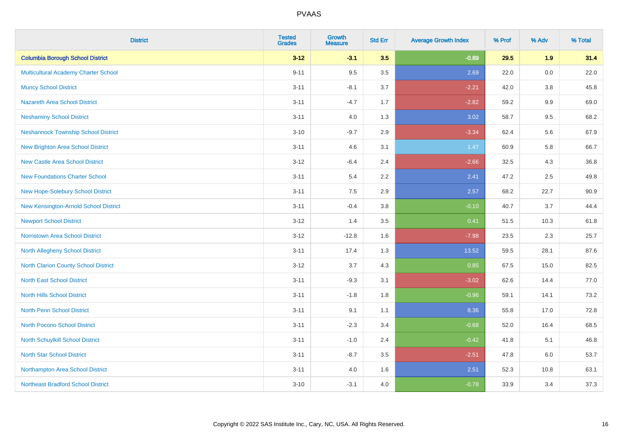| <b>District</b>                            | <b>Tested</b><br><b>Grades</b> | <b>Growth</b><br><b>Measure</b> | <b>Std Err</b> | <b>Average Growth Index</b> | % Prof | % Adv   | % Total |
|--------------------------------------------|--------------------------------|---------------------------------|----------------|-----------------------------|--------|---------|---------|
| <b>Columbia Borough School District</b>    | $3 - 12$                       | $-3.1$                          | 3.5            | $-0.89$                     | 29.5   | 1.9     | 31.4    |
| Multicultural Academy Charter School       | $9 - 11$                       | 9.5                             | 3.5            | 2.69                        | 22.0   | 0.0     | 22.0    |
| <b>Muncy School District</b>               | $3 - 11$                       | $-8.1$                          | 3.7            | $-2.21$                     | 42.0   | 3.8     | 45.8    |
| <b>Nazareth Area School District</b>       | $3 - 11$                       | $-4.7$                          | 1.7            | $-2.82$                     | 59.2   | 9.9     | 69.0    |
| <b>Neshaminy School District</b>           | $3 - 11$                       | 4.0                             | 1.3            | 3.02                        | 58.7   | 9.5     | 68.2    |
| <b>Neshannock Township School District</b> | $3 - 10$                       | $-9.7$                          | 2.9            | $-3.34$                     | 62.4   | 5.6     | 67.9    |
| <b>New Brighton Area School District</b>   | $3 - 11$                       | 4.6                             | 3.1            | 1.47                        | 60.9   | 5.8     | 66.7    |
| <b>New Castle Area School District</b>     | $3 - 12$                       | $-6.4$                          | 2.4            | $-2.66$                     | 32.5   | 4.3     | 36.8    |
| <b>New Foundations Charter School</b>      | $3 - 11$                       | 5.4                             | 2.2            | 2.41                        | 47.2   | 2.5     | 49.8    |
| New Hope-Solebury School District          | $3 - 11$                       | 7.5                             | 2.9            | 2.57                        | 68.2   | 22.7    | 90.9    |
| New Kensington-Arnold School District      | $3 - 11$                       | $-0.4$                          | 3.8            | $-0.10$                     | 40.7   | 3.7     | 44.4    |
| <b>Newport School District</b>             | $3-12$                         | 1.4                             | 3.5            | 0.41                        | 51.5   | 10.3    | 61.8    |
| Norristown Area School District            | $3 - 12$                       | $-12.8$                         | 1.6            | $-7.98$                     | 23.5   | $2.3\,$ | 25.7    |
| <b>North Allegheny School District</b>     | $3 - 11$                       | 17.4                            | 1.3            | 13.52                       | 59.5   | 28.1    | 87.6    |
| North Clarion County School District       | $3 - 12$                       | 3.7                             | 4.3            | 0.85                        | 67.5   | 15.0    | 82.5    |
| <b>North East School District</b>          | $3 - 11$                       | $-9.3$                          | 3.1            | $-3.02$                     | 62.6   | 14.4    | 77.0    |
| <b>North Hills School District</b>         | $3 - 11$                       | $-1.8$                          | 1.8            | $-0.96$                     | 59.1   | 14.1    | 73.2    |
| <b>North Penn School District</b>          | $3 - 11$                       | 9.1                             | 1.1            | 8.36                        | 55.8   | 17.0    | 72.8    |
| <b>North Pocono School District</b>        | $3 - 11$                       | $-2.3$                          | 3.4            | $-0.68$                     | 52.0   | 16.4    | 68.5    |
| <b>North Schuylkill School District</b>    | $3 - 11$                       | $-1.0$                          | 2.4            | $-0.42$                     | 41.8   | 5.1     | 46.8    |
| <b>North Star School District</b>          | $3 - 11$                       | $-8.7$                          | 3.5            | $-2.51$                     | 47.8   | 6.0     | 53.7    |
| Northampton Area School District           | $3 - 11$                       | 4.0                             | 1.6            | 2.51                        | 52.3   | 10.8    | 63.1    |
| <b>Northeast Bradford School District</b>  | $3 - 10$                       | $-3.1$                          | 4.0            | $-0.78$                     | 33.9   | 3.4     | 37.3    |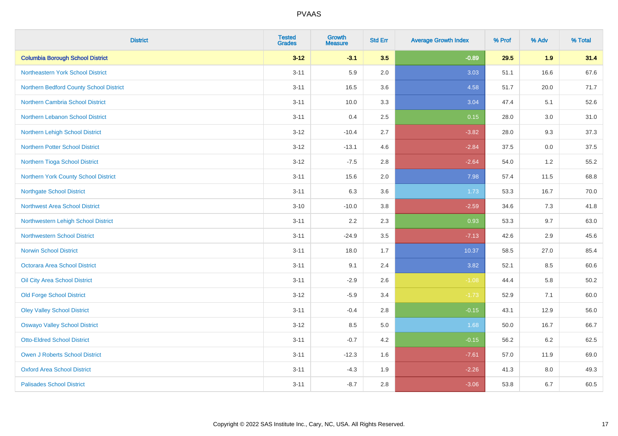| <b>District</b>                         | <b>Tested</b><br><b>Grades</b> | <b>Growth</b><br><b>Measure</b> | <b>Std Err</b> | <b>Average Growth Index</b> | % Prof | % Adv | % Total |
|-----------------------------------------|--------------------------------|---------------------------------|----------------|-----------------------------|--------|-------|---------|
| <b>Columbia Borough School District</b> | $3 - 12$                       | $-3.1$                          | 3.5            | $-0.89$                     | 29.5   | 1.9   | 31.4    |
| Northeastern York School District       | $3 - 11$                       | 5.9                             | 2.0            | 3.03                        | 51.1   | 16.6  | 67.6    |
| Northern Bedford County School District | $3 - 11$                       | 16.5                            | 3.6            | 4.58                        | 51.7   | 20.0  | 71.7    |
| Northern Cambria School District        | $3 - 11$                       | 10.0                            | 3.3            | 3.04                        | 47.4   | 5.1   | 52.6    |
| Northern Lebanon School District        | $3 - 11$                       | 0.4                             | 2.5            | 0.15                        | 28.0   | 3.0   | 31.0    |
| Northern Lehigh School District         | $3 - 12$                       | $-10.4$                         | 2.7            | $-3.82$                     | 28.0   | 9.3   | 37.3    |
| <b>Northern Potter School District</b>  | $3 - 12$                       | $-13.1$                         | 4.6            | $-2.84$                     | 37.5   | 0.0   | 37.5    |
| Northern Tioga School District          | $3 - 12$                       | $-7.5$                          | 2.8            | $-2.64$                     | 54.0   | 1.2   | 55.2    |
| Northern York County School District    | $3 - 11$                       | 15.6                            | 2.0            | 7.98                        | 57.4   | 11.5  | 68.8    |
| <b>Northgate School District</b>        | $3 - 11$                       | 6.3                             | 3.6            | 1.73                        | 53.3   | 16.7  | 70.0    |
| Northwest Area School District          | $3 - 10$                       | $-10.0$                         | 3.8            | $-2.59$                     | 34.6   | 7.3   | 41.8    |
| Northwestern Lehigh School District     | $3 - 11$                       | 2.2                             | 2.3            | 0.93                        | 53.3   | 9.7   | 63.0    |
| <b>Northwestern School District</b>     | $3 - 11$                       | $-24.9$                         | 3.5            | $-7.13$                     | 42.6   | 2.9   | 45.6    |
| <b>Norwin School District</b>           | $3 - 11$                       | 18.0                            | 1.7            | 10.37                       | 58.5   | 27.0  | 85.4    |
| Octorara Area School District           | $3 - 11$                       | 9.1                             | 2.4            | 3.82                        | 52.1   | 8.5   | 60.6    |
| Oil City Area School District           | $3 - 11$                       | $-2.9$                          | 2.6            | $-1.08$                     | 44.4   | 5.8   | 50.2    |
| <b>Old Forge School District</b>        | $3 - 12$                       | $-5.9$                          | 3.4            | $-1.73$                     | 52.9   | 7.1   | 60.0    |
| <b>Oley Valley School District</b>      | $3 - 11$                       | $-0.4$                          | 2.8            | $-0.15$                     | 43.1   | 12.9  | 56.0    |
| <b>Oswayo Valley School District</b>    | $3 - 12$                       | 8.5                             | $5.0\,$        | 1.68                        | 50.0   | 16.7  | 66.7    |
| <b>Otto-Eldred School District</b>      | $3 - 11$                       | $-0.7$                          | 4.2            | $-0.15$                     | 56.2   | 6.2   | 62.5    |
| <b>Owen J Roberts School District</b>   | $3 - 11$                       | $-12.3$                         | 1.6            | $-7.61$                     | 57.0   | 11.9  | 69.0    |
| <b>Oxford Area School District</b>      | $3 - 11$                       | $-4.3$                          | 1.9            | $-2.26$                     | 41.3   | 8.0   | 49.3    |
| <b>Palisades School District</b>        | $3 - 11$                       | $-8.7$                          | 2.8            | $-3.06$                     | 53.8   | 6.7   | 60.5    |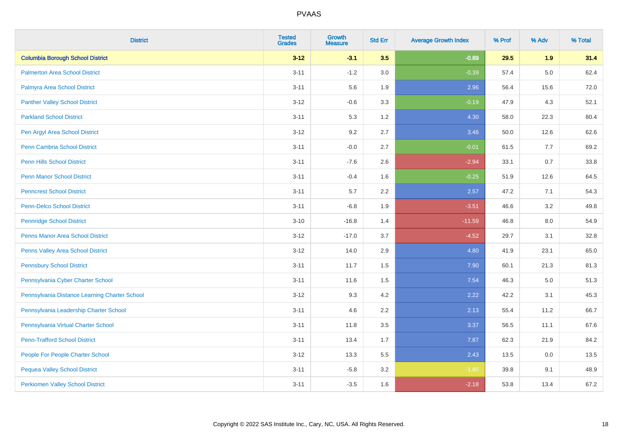| <b>District</b>                               | <b>Tested</b><br><b>Grades</b> | <b>Growth</b><br><b>Measure</b> | <b>Std Err</b> | <b>Average Growth Index</b> | % Prof | % Adv   | % Total |
|-----------------------------------------------|--------------------------------|---------------------------------|----------------|-----------------------------|--------|---------|---------|
| <b>Columbia Borough School District</b>       | $3 - 12$                       | $-3.1$                          | 3.5            | $-0.89$                     | 29.5   | 1.9     | 31.4    |
| <b>Palmerton Area School District</b>         | $3 - 11$                       | $-1.2$                          | 3.0            | $-0.39$                     | 57.4   | $5.0\,$ | 62.4    |
| Palmyra Area School District                  | $3 - 11$                       | 5.6                             | 1.9            | 2.96                        | 56.4   | 15.6    | 72.0    |
| <b>Panther Valley School District</b>         | $3 - 12$                       | $-0.6$                          | 3.3            | $-0.19$                     | 47.9   | 4.3     | 52.1    |
| <b>Parkland School District</b>               | $3 - 11$                       | 5.3                             | 1.2            | 4.30                        | 58.0   | 22.3    | 80.4    |
| Pen Argyl Area School District                | $3 - 12$                       | 9.2                             | 2.7            | 3.46                        | 50.0   | 12.6    | 62.6    |
| Penn Cambria School District                  | $3 - 11$                       | $-0.0$                          | 2.7            | $-0.01$                     | 61.5   | 7.7     | 69.2    |
| <b>Penn Hills School District</b>             | $3 - 11$                       | $-7.6$                          | 2.6            | $-2.94$                     | 33.1   | 0.7     | 33.8    |
| <b>Penn Manor School District</b>             | $3 - 11$                       | $-0.4$                          | 1.6            | $-0.25$                     | 51.9   | 12.6    | 64.5    |
| <b>Penncrest School District</b>              | $3 - 11$                       | 5.7                             | 2.2            | 2.57                        | 47.2   | 7.1     | 54.3    |
| <b>Penn-Delco School District</b>             | $3 - 11$                       | $-6.8$                          | 1.9            | $-3.51$                     | 46.6   | 3.2     | 49.8    |
| <b>Pennridge School District</b>              | $3 - 10$                       | $-16.8$                         | 1.4            | $-11.59$                    | 46.8   | 8.0     | 54.9    |
| Penns Manor Area School District              | $3 - 12$                       | $-17.0$                         | 3.7            | $-4.52$                     | 29.7   | 3.1     | 32.8    |
| Penns Valley Area School District             | $3 - 12$                       | 14.0                            | 2.9            | 4.80                        | 41.9   | 23.1    | 65.0    |
| <b>Pennsbury School District</b>              | $3 - 11$                       | 11.7                            | 1.5            | 7.90                        | 60.1   | 21.3    | 81.3    |
| Pennsylvania Cyber Charter School             | $3 - 11$                       | 11.6                            | 1.5            | 7.54                        | 46.3   | 5.0     | 51.3    |
| Pennsylvania Distance Learning Charter School | $3 - 12$                       | 9.3                             | 4.2            | 2.22                        | 42.2   | 3.1     | 45.3    |
| Pennsylvania Leadership Charter School        | $3 - 11$                       | 4.6                             | 2.2            | 2.13                        | 55.4   | 11.2    | 66.7    |
| Pennsylvania Virtual Charter School           | $3 - 11$                       | 11.8                            | 3.5            | 3.37                        | 56.5   | 11.1    | 67.6    |
| <b>Penn-Trafford School District</b>          | $3 - 11$                       | 13.4                            | 1.7            | 7.87                        | 62.3   | 21.9    | 84.2    |
| People For People Charter School              | $3 - 12$                       | 13.3                            | 5.5            | 2.43                        | 13.5   | 0.0     | 13.5    |
| <b>Pequea Valley School District</b>          | $3 - 11$                       | $-5.8$                          | 3.2            | $-1.80$                     | 39.8   | 9.1     | 48.9    |
| <b>Perkiomen Valley School District</b>       | $3 - 11$                       | $-3.5$                          | 1.6            | $-2.18$                     | 53.8   | 13.4    | 67.2    |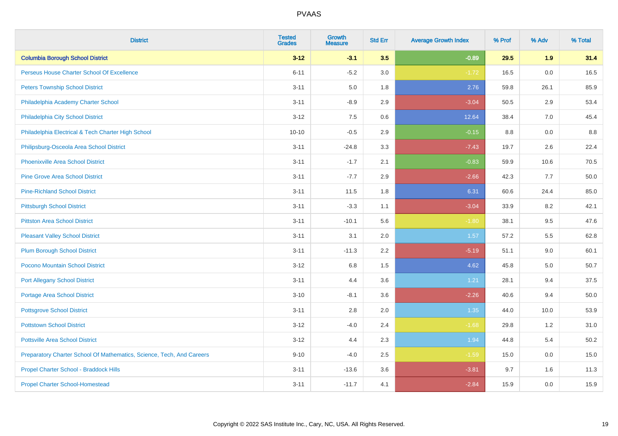| <b>District</b>                                                       | <b>Tested</b><br><b>Grades</b> | <b>Growth</b><br><b>Measure</b> | <b>Std Err</b> | <b>Average Growth Index</b> | % Prof | % Adv | % Total |
|-----------------------------------------------------------------------|--------------------------------|---------------------------------|----------------|-----------------------------|--------|-------|---------|
| <b>Columbia Borough School District</b>                               | $3 - 12$                       | $-3.1$                          | 3.5            | $-0.89$                     | 29.5   | 1.9   | 31.4    |
| Perseus House Charter School Of Excellence                            | $6 - 11$                       | $-5.2$                          | 3.0            | $-1.72$                     | 16.5   | 0.0   | 16.5    |
| <b>Peters Township School District</b>                                | $3 - 11$                       | 5.0                             | 1.8            | 2.76                        | 59.8   | 26.1  | 85.9    |
| Philadelphia Academy Charter School                                   | $3 - 11$                       | $-8.9$                          | 2.9            | $-3.04$                     | 50.5   | 2.9   | 53.4    |
| Philadelphia City School District                                     | $3 - 12$                       | 7.5                             | 0.6            | 12.64                       | 38.4   | 7.0   | 45.4    |
| Philadelphia Electrical & Tech Charter High School                    | $10 - 10$                      | $-0.5$                          | 2.9            | $-0.15$                     | 8.8    | 0.0   | 8.8     |
| Philipsburg-Osceola Area School District                              | $3 - 11$                       | $-24.8$                         | 3.3            | $-7.43$                     | 19.7   | 2.6   | 22.4    |
| <b>Phoenixville Area School District</b>                              | $3 - 11$                       | $-1.7$                          | 2.1            | $-0.83$                     | 59.9   | 10.6  | 70.5    |
| <b>Pine Grove Area School District</b>                                | $3 - 11$                       | $-7.7$                          | 2.9            | $-2.66$                     | 42.3   | 7.7   | 50.0    |
| <b>Pine-Richland School District</b>                                  | $3 - 11$                       | 11.5                            | 1.8            | 6.31                        | 60.6   | 24.4  | 85.0    |
| <b>Pittsburgh School District</b>                                     | $3 - 11$                       | $-3.3$                          | 1.1            | $-3.04$                     | 33.9   | 8.2   | 42.1    |
| <b>Pittston Area School District</b>                                  | $3 - 11$                       | $-10.1$                         | 5.6            | $-1.80$                     | 38.1   | 9.5   | 47.6    |
| <b>Pleasant Valley School District</b>                                | $3 - 11$                       | 3.1                             | 2.0            | 1.57                        | 57.2   | 5.5   | 62.8    |
| <b>Plum Borough School District</b>                                   | $3 - 11$                       | $-11.3$                         | 2.2            | $-5.19$                     | 51.1   | 9.0   | 60.1    |
| Pocono Mountain School District                                       | $3 - 12$                       | 6.8                             | 1.5            | 4.62                        | 45.8   | 5.0   | 50.7    |
| <b>Port Allegany School District</b>                                  | $3 - 11$                       | 4.4                             | 3.6            | 1.21                        | 28.1   | 9.4   | 37.5    |
| <b>Portage Area School District</b>                                   | $3 - 10$                       | $-8.1$                          | 3.6            | $-2.26$                     | 40.6   | 9.4   | 50.0    |
| <b>Pottsgrove School District</b>                                     | $3 - 11$                       | 2.8                             | 2.0            | 1.35                        | 44.0   | 10.0  | 53.9    |
| <b>Pottstown School District</b>                                      | $3 - 12$                       | $-4.0$                          | 2.4            | $-1.68$                     | 29.8   | 1.2   | 31.0    |
| <b>Pottsville Area School District</b>                                | $3 - 12$                       | 4.4                             | 2.3            | 1.94                        | 44.8   | 5.4   | 50.2    |
| Preparatory Charter School Of Mathematics, Science, Tech, And Careers | $9 - 10$                       | $-4.0$                          | 2.5            | $-1.59$                     | 15.0   | 0.0   | 15.0    |
| Propel Charter School - Braddock Hills                                | $3 - 11$                       | $-13.6$                         | 3.6            | $-3.81$                     | 9.7    | 1.6   | 11.3    |
| <b>Propel Charter School-Homestead</b>                                | $3 - 11$                       | $-11.7$                         | 4.1            | $-2.84$                     | 15.9   | 0.0   | 15.9    |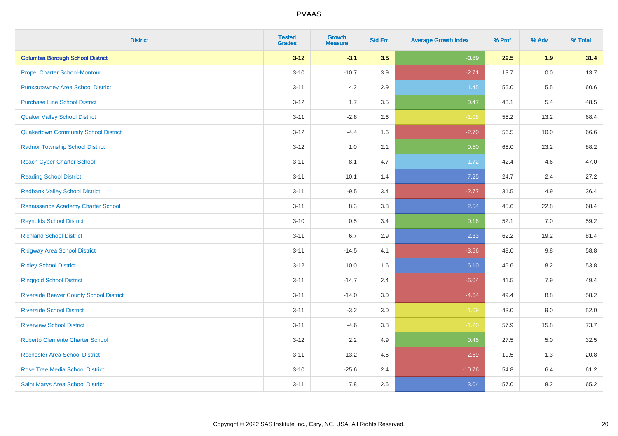| <b>District</b>                                | <b>Tested</b><br><b>Grades</b> | <b>Growth</b><br><b>Measure</b> | <b>Std Err</b> | <b>Average Growth Index</b> | % Prof | % Adv   | % Total |
|------------------------------------------------|--------------------------------|---------------------------------|----------------|-----------------------------|--------|---------|---------|
| <b>Columbia Borough School District</b>        | $3 - 12$                       | $-3.1$                          | 3.5            | $-0.89$                     | 29.5   | 1.9     | 31.4    |
| <b>Propel Charter School-Montour</b>           | $3 - 10$                       | $-10.7$                         | 3.9            | $-2.71$                     | 13.7   | 0.0     | 13.7    |
| <b>Punxsutawney Area School District</b>       | $3 - 11$                       | 4.2                             | 2.9            | 1.45                        | 55.0   | 5.5     | 60.6    |
| <b>Purchase Line School District</b>           | $3 - 12$                       | 1.7                             | 3.5            | 0.47                        | 43.1   | 5.4     | 48.5    |
| <b>Quaker Valley School District</b>           | $3 - 11$                       | $-2.8$                          | 2.6            | $-1.08$                     | 55.2   | 13.2    | 68.4    |
| <b>Quakertown Community School District</b>    | $3 - 12$                       | $-4.4$                          | 1.6            | $-2.70$                     | 56.5   | 10.0    | 66.6    |
| <b>Radnor Township School District</b>         | $3 - 12$                       | 1.0                             | 2.1            | 0.50                        | 65.0   | 23.2    | 88.2    |
| <b>Reach Cyber Charter School</b>              | $3 - 11$                       | 8.1                             | 4.7            | 1.72                        | 42.4   | 4.6     | 47.0    |
| <b>Reading School District</b>                 | $3 - 11$                       | 10.1                            | 1.4            | 7.25                        | 24.7   | 2.4     | 27.2    |
| <b>Redbank Valley School District</b>          | $3 - 11$                       | $-9.5$                          | 3.4            | $-2.77$                     | 31.5   | 4.9     | 36.4    |
| Renaissance Academy Charter School             | $3 - 11$                       | 8.3                             | 3.3            | 2.54                        | 45.6   | 22.8    | 68.4    |
| <b>Reynolds School District</b>                | $3 - 10$                       | 0.5                             | 3.4            | 0.16                        | 52.1   | 7.0     | 59.2    |
| <b>Richland School District</b>                | $3 - 11$                       | 6.7                             | 2.9            | 2.33                        | 62.2   | 19.2    | 81.4    |
| <b>Ridgway Area School District</b>            | $3 - 11$                       | $-14.5$                         | 4.1            | $-3.56$                     | 49.0   | 9.8     | 58.8    |
| <b>Ridley School District</b>                  | $3 - 12$                       | 10.0                            | 1.6            | 6.10                        | 45.6   | 8.2     | 53.8    |
| <b>Ringgold School District</b>                | $3 - 11$                       | $-14.7$                         | 2.4            | $-6.04$                     | 41.5   | 7.9     | 49.4    |
| <b>Riverside Beaver County School District</b> | $3 - 11$                       | $-14.0$                         | 3.0            | $-4.64$                     | 49.4   | 8.8     | 58.2    |
| <b>Riverside School District</b>               | $3 - 11$                       | $-3.2$                          | 3.0            | $-1.09$                     | 43.0   | 9.0     | 52.0    |
| <b>Riverview School District</b>               | $3 - 11$                       | $-4.6$                          | 3.8            | $-1.20$                     | 57.9   | 15.8    | 73.7    |
| <b>Roberto Clemente Charter School</b>         | $3 - 12$                       | 2.2                             | 4.9            | 0.45                        | 27.5   | $5.0\,$ | 32.5    |
| <b>Rochester Area School District</b>          | $3 - 11$                       | $-13.2$                         | 4.6            | $-2.89$                     | 19.5   | 1.3     | 20.8    |
| <b>Rose Tree Media School District</b>         | $3 - 10$                       | $-25.6$                         | 2.4            | $-10.76$                    | 54.8   | 6.4     | 61.2    |
| Saint Marys Area School District               | $3 - 11$                       | 7.8                             | 2.6            | 3.04                        | 57.0   | 8.2     | 65.2    |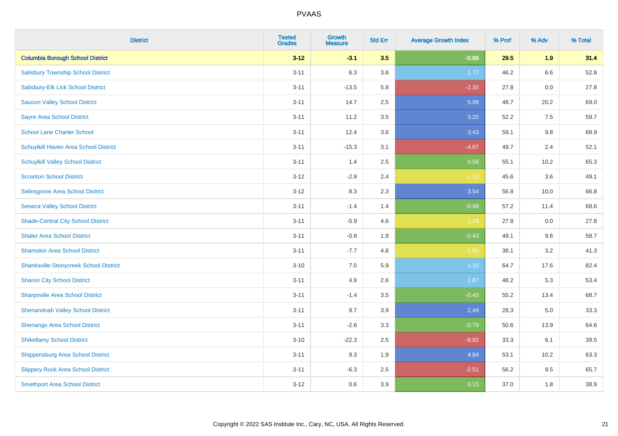| <b>District</b>                               | <b>Tested</b><br><b>Grades</b> | <b>Growth</b><br><b>Measure</b> | <b>Std Err</b> | <b>Average Growth Index</b> | % Prof | % Adv | % Total |
|-----------------------------------------------|--------------------------------|---------------------------------|----------------|-----------------------------|--------|-------|---------|
| <b>Columbia Borough School District</b>       | $3 - 12$                       | $-3.1$                          | 3.5            | $-0.89$                     | 29.5   | 1.9   | 31.4    |
| <b>Salisbury Township School District</b>     | $3 - 11$                       | 6.3                             | 3.6            | 1.77                        | 46.2   | 6.6   | 52.8    |
| Salisbury-Elk Lick School District            | $3 - 11$                       | $-13.5$                         | 5.9            | $-2.30$                     | 27.8   | 0.0   | 27.8    |
| <b>Saucon Valley School District</b>          | $3 - 11$                       | 14.7                            | 2.5            | 5.98                        | 48.7   | 20.2  | 69.0    |
| <b>Sayre Area School District</b>             | $3 - 11$                       | 11.2                            | 3.5            | 3.20                        | 52.2   | 7.5   | 59.7    |
| <b>School Lane Charter School</b>             | $3 - 11$                       | 12.4                            | 3.6            | 3.43                        | 59.1   | 9.8   | 68.9    |
| Schuylkill Haven Area School District         | $3 - 11$                       | $-15.3$                         | 3.1            | $-4.87$                     | 49.7   | 2.4   | 52.1    |
| <b>Schuylkill Valley School District</b>      | $3 - 11$                       | 1.4                             | 2.5            | 0.56                        | 55.1   | 10.2  | 65.3    |
| <b>Scranton School District</b>               | $3 - 12$                       | $-2.9$                          | 2.4            | $-1.22$                     | 45.6   | 3.6   | 49.1    |
| <b>Selinsgrove Area School District</b>       | $3 - 12$                       | 8.3                             | 2.3            | 3.54                        | 56.8   | 10.0  | 66.8    |
| <b>Seneca Valley School District</b>          | $3 - 11$                       | $-1.4$                          | 1.4            | $-0.99$                     | 57.2   | 11.4  | 68.6    |
| <b>Shade-Central City School District</b>     | $3 - 11$                       | $-5.9$                          | 4.6            | $-1.28$                     | 27.8   | 0.0   | 27.8    |
| <b>Shaler Area School District</b>            | $3 - 11$                       | $-0.8$                          | 1.9            | $-0.43$                     | 49.1   | 9.6   | 58.7    |
| <b>Shamokin Area School District</b>          | $3 - 11$                       | $-7.7$                          | 4.8            | $-1.60$                     | 38.1   | 3.2   | 41.3    |
| <b>Shanksville-Stonycreek School District</b> | $3 - 10$                       | 7.0                             | 5.9            | 1.20                        | 64.7   | 17.6  | 82.4    |
| <b>Sharon City School District</b>            | $3 - 11$                       | 4.9                             | 2.6            | 1.87                        | 48.2   | 5.3   | 53.4    |
| <b>Sharpsville Area School District</b>       | $3 - 11$                       | $-1.4$                          | 3.5            | $-0.40$                     | 55.2   | 13.4  | 68.7    |
| <b>Shenandoah Valley School District</b>      | $3 - 11$                       | 9.7                             | 3.9            | 2.49                        | 28.3   | 5.0   | 33.3    |
| Shenango Area School District                 | $3 - 11$                       | $-2.6$                          | 3.3            | $-0.79$                     | 50.6   | 13.9  | 64.6    |
| <b>Shikellamy School District</b>             | $3 - 10$                       | $-22.3$                         | 2.5            | $-8.92$                     | 33.3   | 6.1   | 39.5    |
| <b>Shippensburg Area School District</b>      | $3 - 11$                       | 9.3                             | 1.9            | 4.84                        | 53.1   | 10.2  | 63.3    |
| <b>Slippery Rock Area School District</b>     | $3 - 11$                       | $-6.3$                          | 2.5            | $-2.51$                     | 56.2   | 9.5   | 65.7    |
| <b>Smethport Area School District</b>         | $3 - 12$                       | 0.6                             | 3.9            | 0.15                        | 37.0   | 1.8   | 38.9    |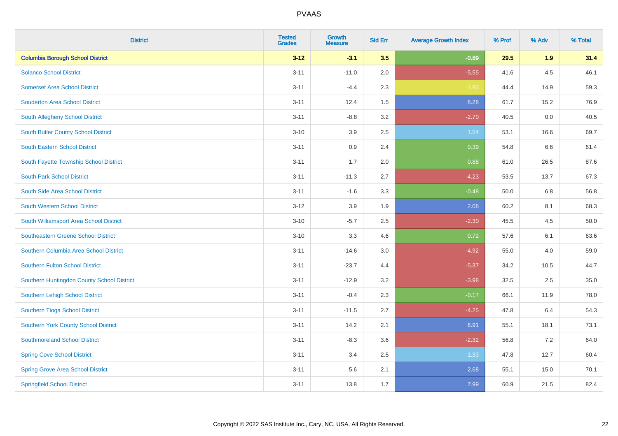| <b>District</b>                            | <b>Tested</b><br><b>Grades</b> | <b>Growth</b><br><b>Measure</b> | <b>Std Err</b> | <b>Average Growth Index</b> | % Prof | % Adv | % Total |
|--------------------------------------------|--------------------------------|---------------------------------|----------------|-----------------------------|--------|-------|---------|
| <b>Columbia Borough School District</b>    | $3 - 12$                       | $-3.1$                          | 3.5            | $-0.89$                     | 29.5   | 1.9   | 31.4    |
| <b>Solanco School District</b>             | $3 - 11$                       | $-11.0$                         | 2.0            | $-5.55$                     | 41.6   | 4.5   | 46.1    |
| <b>Somerset Area School District</b>       | $3 - 11$                       | $-4.4$                          | 2.3            | $-1.93$                     | 44.4   | 14.9  | 59.3    |
| <b>Souderton Area School District</b>      | $3 - 11$                       | 12.4                            | 1.5            | 8.28                        | 61.7   | 15.2  | 76.9    |
| South Allegheny School District            | $3 - 11$                       | $-8.8$                          | 3.2            | $-2.70$                     | 40.5   | 0.0   | 40.5    |
| South Butler County School District        | $3 - 10$                       | 3.9                             | 2.5            | 1.54                        | 53.1   | 16.6  | 69.7    |
| <b>South Eastern School District</b>       | $3 - 11$                       | 0.9                             | 2.4            | 0.39                        | 54.8   | 6.6   | 61.4    |
| South Fayette Township School District     | $3 - 11$                       | 1.7                             | 2.0            | 0.88                        | 61.0   | 26.5  | 87.6    |
| <b>South Park School District</b>          | $3 - 11$                       | $-11.3$                         | 2.7            | $-4.23$                     | 53.5   | 13.7  | 67.3    |
| South Side Area School District            | $3 - 11$                       | $-1.6$                          | 3.3            | $-0.48$                     | 50.0   | 6.8   | 56.8    |
| South Western School District              | $3 - 12$                       | 3.9                             | 1.9            | 2.08                        | 60.2   | 8.1   | 68.3    |
| South Williamsport Area School District    | $3 - 10$                       | $-5.7$                          | 2.5            | $-2.30$                     | 45.5   | 4.5   | 50.0    |
| Southeastern Greene School District        | $3 - 10$                       | 3.3                             | 4.6            | 0.72                        | 57.6   | 6.1   | 63.6    |
| Southern Columbia Area School District     | $3 - 11$                       | $-14.6$                         | 3.0            | $-4.92$                     | 55.0   | 4.0   | 59.0    |
| Southern Fulton School District            | $3 - 11$                       | $-23.7$                         | 4.4            | $-5.37$                     | 34.2   | 10.5  | 44.7    |
| Southern Huntingdon County School District | $3 - 11$                       | $-12.9$                         | 3.2            | $-3.98$                     | 32.5   | 2.5   | 35.0    |
| Southern Lehigh School District            | $3 - 11$                       | $-0.4$                          | 2.3            | $-0.17$                     | 66.1   | 11.9  | 78.0    |
| Southern Tioga School District             | $3 - 11$                       | $-11.5$                         | 2.7            | $-4.25$                     | 47.8   | 6.4   | 54.3    |
| Southern York County School District       | $3 - 11$                       | 14.2                            | 2.1            | 6.91                        | 55.1   | 18.1  | 73.1    |
| <b>Southmoreland School District</b>       | $3 - 11$                       | $-8.3$                          | 3.6            | $-2.32$                     | 56.8   | 7.2   | 64.0    |
| <b>Spring Cove School District</b>         | $3 - 11$                       | 3.4                             | 2.5            | 1.33                        | 47.8   | 12.7  | 60.4    |
| <b>Spring Grove Area School District</b>   | $3 - 11$                       | 5.6                             | 2.1            | 2.68                        | 55.1   | 15.0  | 70.1    |
| <b>Springfield School District</b>         | $3 - 11$                       | 13.8                            | 1.7            | 7.99                        | 60.9   | 21.5  | 82.4    |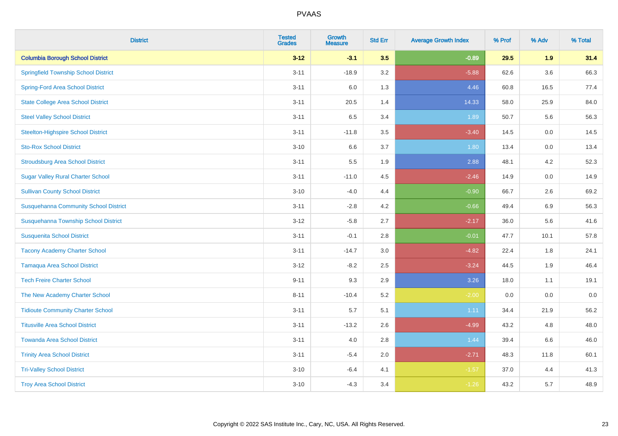| <b>District</b>                              | <b>Tested</b><br><b>Grades</b> | <b>Growth</b><br><b>Measure</b> | <b>Std Err</b> | <b>Average Growth Index</b> | % Prof | % Adv   | % Total |
|----------------------------------------------|--------------------------------|---------------------------------|----------------|-----------------------------|--------|---------|---------|
| <b>Columbia Borough School District</b>      | $3 - 12$                       | $-3.1$                          | 3.5            | $-0.89$                     | 29.5   | 1.9     | 31.4    |
| <b>Springfield Township School District</b>  | $3 - 11$                       | $-18.9$                         | 3.2            | $-5.88$                     | 62.6   | $3.6\,$ | 66.3    |
| <b>Spring-Ford Area School District</b>      | $3 - 11$                       | 6.0                             | 1.3            | 4.46                        | 60.8   | 16.5    | 77.4    |
| <b>State College Area School District</b>    | $3 - 11$                       | 20.5                            | 1.4            | 14.33                       | 58.0   | 25.9    | 84.0    |
| <b>Steel Valley School District</b>          | $3 - 11$                       | 6.5                             | 3.4            | 1.89                        | 50.7   | 5.6     | 56.3    |
| <b>Steelton-Highspire School District</b>    | $3 - 11$                       | $-11.8$                         | 3.5            | $-3.40$                     | 14.5   | 0.0     | 14.5    |
| <b>Sto-Rox School District</b>               | $3 - 10$                       | 6.6                             | 3.7            | 1.80                        | 13.4   | 0.0     | 13.4    |
| <b>Stroudsburg Area School District</b>      | $3 - 11$                       | 5.5                             | 1.9            | 2.88                        | 48.1   | 4.2     | 52.3    |
| <b>Sugar Valley Rural Charter School</b>     | $3 - 11$                       | $-11.0$                         | 4.5            | $-2.46$                     | 14.9   | 0.0     | 14.9    |
| <b>Sullivan County School District</b>       | $3 - 10$                       | $-4.0$                          | 4.4            | $-0.90$                     | 66.7   | $2.6\,$ | 69.2    |
| <b>Susquehanna Community School District</b> | $3 - 11$                       | $-2.8$                          | 4.2            | $-0.66$                     | 49.4   | 6.9     | 56.3    |
| Susquehanna Township School District         | $3 - 12$                       | $-5.8$                          | 2.7            | $-2.17$                     | 36.0   | 5.6     | 41.6    |
| <b>Susquenita School District</b>            | $3 - 11$                       | $-0.1$                          | 2.8            | $-0.01$                     | 47.7   | 10.1    | 57.8    |
| <b>Tacony Academy Charter School</b>         | $3 - 11$                       | $-14.7$                         | 3.0            | $-4.82$                     | 22.4   | 1.8     | 24.1    |
| <b>Tamaqua Area School District</b>          | $3 - 12$                       | $-8.2$                          | 2.5            | $-3.24$                     | 44.5   | 1.9     | 46.4    |
| <b>Tech Freire Charter School</b>            | $9 - 11$                       | 9.3                             | 2.9            | 3.26                        | 18.0   | 1.1     | 19.1    |
| The New Academy Charter School               | $8 - 11$                       | $-10.4$                         | 5.2            | $-2.00$                     | 0.0    | 0.0     | $0.0\,$ |
| <b>Tidioute Community Charter School</b>     | $3 - 11$                       | 5.7                             | 5.1            | 1.11                        | 34.4   | 21.9    | 56.2    |
| <b>Titusville Area School District</b>       | $3 - 11$                       | $-13.2$                         | 2.6            | $-4.99$                     | 43.2   | 4.8     | 48.0    |
| <b>Towanda Area School District</b>          | $3 - 11$                       | 4.0                             | 2.8            | 1.44                        | 39.4   | 6.6     | 46.0    |
| <b>Trinity Area School District</b>          | $3 - 11$                       | $-5.4$                          | 2.0            | $-2.71$                     | 48.3   | 11.8    | 60.1    |
| <b>Tri-Valley School District</b>            | $3 - 10$                       | $-6.4$                          | 4.1            | $-1.57$                     | 37.0   | 4.4     | 41.3    |
| <b>Troy Area School District</b>             | $3 - 10$                       | $-4.3$                          | 3.4            | $-1.26$                     | 43.2   | 5.7     | 48.9    |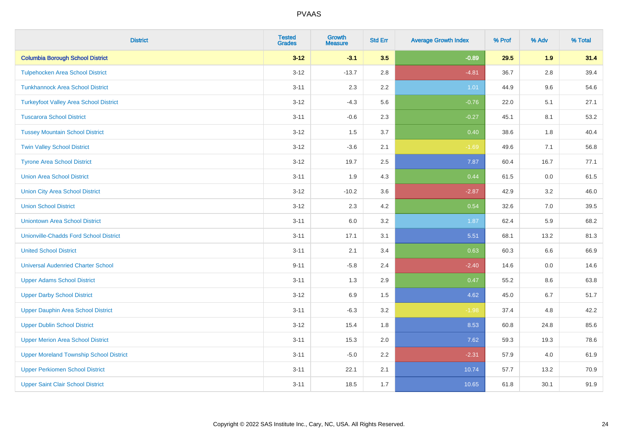| <b>District</b>                                | <b>Tested</b><br><b>Grades</b> | Growth<br><b>Measure</b> | <b>Std Err</b> | <b>Average Growth Index</b> | % Prof | % Adv   | % Total |
|------------------------------------------------|--------------------------------|--------------------------|----------------|-----------------------------|--------|---------|---------|
| <b>Columbia Borough School District</b>        | $3 - 12$                       | $-3.1$                   | 3.5            | $-0.89$                     | 29.5   | 1.9     | 31.4    |
| <b>Tulpehocken Area School District</b>        | $3 - 12$                       | $-13.7$                  | 2.8            | $-4.81$                     | 36.7   | 2.8     | 39.4    |
| <b>Tunkhannock Area School District</b>        | $3 - 11$                       | 2.3                      | $2.2\,$        | 1.01                        | 44.9   | $9.6\,$ | 54.6    |
| <b>Turkeyfoot Valley Area School District</b>  | $3 - 12$                       | $-4.3$                   | 5.6            | $-0.76$                     | 22.0   | 5.1     | 27.1    |
| <b>Tuscarora School District</b>               | $3 - 11$                       | $-0.6$                   | 2.3            | $-0.27$                     | 45.1   | 8.1     | 53.2    |
| <b>Tussey Mountain School District</b>         | $3 - 12$                       | 1.5                      | 3.7            | 0.40                        | 38.6   | 1.8     | 40.4    |
| <b>Twin Valley School District</b>             | $3 - 12$                       | $-3.6$                   | 2.1            | $-1.69$                     | 49.6   | 7.1     | 56.8    |
| <b>Tyrone Area School District</b>             | $3 - 12$                       | 19.7                     | 2.5            | 7.87                        | 60.4   | 16.7    | 77.1    |
| <b>Union Area School District</b>              | $3 - 11$                       | 1.9                      | 4.3            | 0.44                        | 61.5   | 0.0     | 61.5    |
| <b>Union City Area School District</b>         | $3 - 12$                       | $-10.2$                  | 3.6            | $-2.87$                     | 42.9   | 3.2     | 46.0    |
| <b>Union School District</b>                   | $3 - 12$                       | 2.3                      | 4.2            | 0.54                        | 32.6   | 7.0     | 39.5    |
| <b>Uniontown Area School District</b>          | $3 - 11$                       | 6.0                      | 3.2            | 1.87                        | 62.4   | 5.9     | 68.2    |
| <b>Unionville-Chadds Ford School District</b>  | $3 - 11$                       | 17.1                     | 3.1            | 5.51                        | 68.1   | 13.2    | 81.3    |
| <b>United School District</b>                  | $3 - 11$                       | 2.1                      | 3.4            | 0.63                        | 60.3   | 6.6     | 66.9    |
| <b>Universal Audenried Charter School</b>      | $9 - 11$                       | $-5.8$                   | 2.4            | $-2.40$                     | 14.6   | 0.0     | 14.6    |
| <b>Upper Adams School District</b>             | $3 - 11$                       | 1.3                      | 2.9            | 0.47                        | 55.2   | $8.6\,$ | 63.8    |
| <b>Upper Darby School District</b>             | $3 - 12$                       | 6.9                      | 1.5            | 4.62                        | 45.0   | 6.7     | 51.7    |
| <b>Upper Dauphin Area School District</b>      | $3 - 11$                       | $-6.3$                   | 3.2            | $-1.98$                     | 37.4   | 4.8     | 42.2    |
| <b>Upper Dublin School District</b>            | $3 - 12$                       | 15.4                     | 1.8            | 8.53                        | 60.8   | 24.8    | 85.6    |
| <b>Upper Merion Area School District</b>       | $3 - 11$                       | 15.3                     | 2.0            | 7.62                        | 59.3   | 19.3    | 78.6    |
| <b>Upper Moreland Township School District</b> | $3 - 11$                       | $-5.0$                   | 2.2            | $-2.31$                     | 57.9   | 4.0     | 61.9    |
| <b>Upper Perkiomen School District</b>         | $3 - 11$                       | 22.1                     | 2.1            | 10.74                       | 57.7   | 13.2    | 70.9    |
| <b>Upper Saint Clair School District</b>       | $3 - 11$                       | 18.5                     | 1.7            | 10.65                       | 61.8   | 30.1    | 91.9    |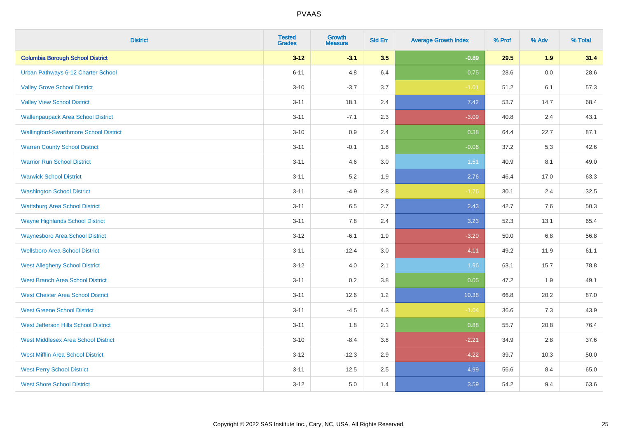| <b>District</b>                               | <b>Tested</b><br><b>Grades</b> | <b>Growth</b><br><b>Measure</b> | <b>Std Err</b> | <b>Average Growth Index</b> | % Prof | % Adv   | % Total |
|-----------------------------------------------|--------------------------------|---------------------------------|----------------|-----------------------------|--------|---------|---------|
| <b>Columbia Borough School District</b>       | $3 - 12$                       | $-3.1$                          | 3.5            | $-0.89$                     | 29.5   | 1.9     | 31.4    |
| Urban Pathways 6-12 Charter School            | $6 - 11$                       | 4.8                             | 6.4            | 0.75                        | 28.6   | $0.0\,$ | 28.6    |
| <b>Valley Grove School District</b>           | $3 - 10$                       | $-3.7$                          | 3.7            | $-1.01$                     | 51.2   | 6.1     | 57.3    |
| <b>Valley View School District</b>            | $3 - 11$                       | 18.1                            | 2.4            | 7.42                        | 53.7   | 14.7    | 68.4    |
| <b>Wallenpaupack Area School District</b>     | $3 - 11$                       | $-7.1$                          | 2.3            | $-3.09$                     | 40.8   | 2.4     | 43.1    |
| <b>Wallingford-Swarthmore School District</b> | $3 - 10$                       | 0.9                             | 2.4            | 0.38                        | 64.4   | 22.7    | 87.1    |
| <b>Warren County School District</b>          | $3 - 11$                       | $-0.1$                          | 1.8            | $-0.06$                     | 37.2   | 5.3     | 42.6    |
| <b>Warrior Run School District</b>            | $3 - 11$                       | 4.6                             | 3.0            | 1.51                        | 40.9   | 8.1     | 49.0    |
| <b>Warwick School District</b>                | $3 - 11$                       | 5.2                             | 1.9            | 2.76                        | 46.4   | 17.0    | 63.3    |
| <b>Washington School District</b>             | $3 - 11$                       | $-4.9$                          | 2.8            | $-1.76$                     | 30.1   | 2.4     | 32.5    |
| <b>Wattsburg Area School District</b>         | $3 - 11$                       | 6.5                             | 2.7            | 2.43                        | 42.7   | 7.6     | 50.3    |
| <b>Wayne Highlands School District</b>        | $3 - 11$                       | 7.8                             | 2.4            | 3.23                        | 52.3   | 13.1    | 65.4    |
| <b>Waynesboro Area School District</b>        | $3 - 12$                       | $-6.1$                          | 1.9            | $-3.20$                     | 50.0   | $6.8\,$ | 56.8    |
| <b>Wellsboro Area School District</b>         | $3 - 11$                       | $-12.4$                         | 3.0            | $-4.11$                     | 49.2   | 11.9    | 61.1    |
| <b>West Allegheny School District</b>         | $3 - 12$                       | $4.0\,$                         | 2.1            | 1.96                        | 63.1   | 15.7    | 78.8    |
| <b>West Branch Area School District</b>       | $3 - 11$                       | 0.2                             | 3.8            | 0.05                        | 47.2   | 1.9     | 49.1    |
| <b>West Chester Area School District</b>      | $3 - 11$                       | 12.6                            | 1.2            | 10.38                       | 66.8   | 20.2    | 87.0    |
| <b>West Greene School District</b>            | $3 - 11$                       | $-4.5$                          | 4.3            | $-1.04$                     | 36.6   | 7.3     | 43.9    |
| West Jefferson Hills School District          | $3 - 11$                       | 1.8                             | 2.1            | 0.88                        | 55.7   | 20.8    | 76.4    |
| <b>West Middlesex Area School District</b>    | $3 - 10$                       | $-8.4$                          | 3.8            | $-2.21$                     | 34.9   | 2.8     | 37.6    |
| <b>West Mifflin Area School District</b>      | $3 - 12$                       | $-12.3$                         | 2.9            | $-4.22$                     | 39.7   | 10.3    | 50.0    |
| <b>West Perry School District</b>             | $3 - 11$                       | 12.5                            | 2.5            | 4.99                        | 56.6   | 8.4     | 65.0    |
| <b>West Shore School District</b>             | $3 - 12$                       | 5.0                             | 1.4            | 3.59                        | 54.2   | 9.4     | 63.6    |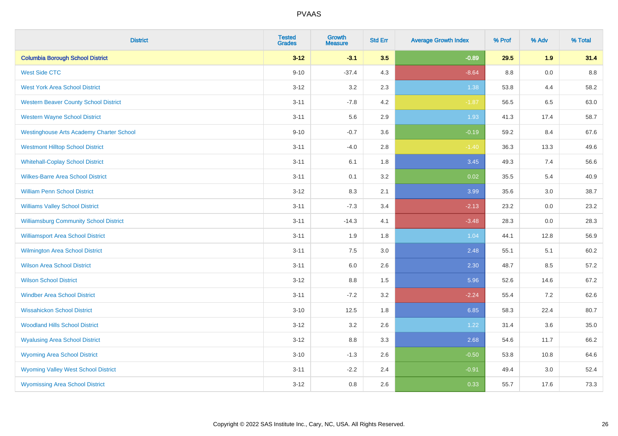| <b>District</b>                                 | <b>Tested</b><br><b>Grades</b> | <b>Growth</b><br><b>Measure</b> | <b>Std Err</b> | <b>Average Growth Index</b> | % Prof | % Adv | % Total |
|-------------------------------------------------|--------------------------------|---------------------------------|----------------|-----------------------------|--------|-------|---------|
| <b>Columbia Borough School District</b>         | $3 - 12$                       | $-3.1$                          | 3.5            | $-0.89$                     | 29.5   | 1.9   | 31.4    |
| <b>West Side CTC</b>                            | $9 - 10$                       | $-37.4$                         | 4.3            | $-8.64$                     | 8.8    | 0.0   | $8.8\,$ |
| <b>West York Area School District</b>           | $3 - 12$                       | 3.2                             | 2.3            | 1.38                        | 53.8   | 4.4   | 58.2    |
| <b>Western Beaver County School District</b>    | $3 - 11$                       | $-7.8$                          | 4.2            | $-1.87$                     | 56.5   | 6.5   | 63.0    |
| <b>Western Wayne School District</b>            | $3 - 11$                       | 5.6                             | 2.9            | 1.93                        | 41.3   | 17.4  | 58.7    |
| <b>Westinghouse Arts Academy Charter School</b> | $9 - 10$                       | $-0.7$                          | 3.6            | $-0.19$                     | 59.2   | 8.4   | 67.6    |
| <b>Westmont Hilltop School District</b>         | $3 - 11$                       | $-4.0$                          | 2.8            | $-1.40$                     | 36.3   | 13.3  | 49.6    |
| <b>Whitehall-Coplay School District</b>         | $3 - 11$                       | 6.1                             | 1.8            | 3.45                        | 49.3   | 7.4   | 56.6    |
| <b>Wilkes-Barre Area School District</b>        | $3 - 11$                       | 0.1                             | 3.2            | 0.02                        | 35.5   | 5.4   | 40.9    |
| <b>William Penn School District</b>             | $3 - 12$                       | 8.3                             | 2.1            | 3.99                        | 35.6   | 3.0   | 38.7    |
| <b>Williams Valley School District</b>          | $3 - 11$                       | $-7.3$                          | 3.4            | $-2.13$                     | 23.2   | 0.0   | 23.2    |
| <b>Williamsburg Community School District</b>   | $3 - 11$                       | $-14.3$                         | 4.1            | $-3.48$                     | 28.3   | 0.0   | 28.3    |
| <b>Williamsport Area School District</b>        | $3 - 11$                       | 1.9                             | 1.8            | 1.04                        | 44.1   | 12.8  | 56.9    |
| Wilmington Area School District                 | $3 - 11$                       | 7.5                             | 3.0            | 2.48                        | 55.1   | 5.1   | 60.2    |
| <b>Wilson Area School District</b>              | $3 - 11$                       | 6.0                             | 2.6            | 2.30                        | 48.7   | 8.5   | 57.2    |
| <b>Wilson School District</b>                   | $3 - 12$                       | $8.8\,$                         | 1.5            | 5.96                        | 52.6   | 14.6  | 67.2    |
| <b>Windber Area School District</b>             | $3 - 11$                       | $-7.2$                          | 3.2            | $-2.24$                     | 55.4   | 7.2   | 62.6    |
| <b>Wissahickon School District</b>              | $3 - 10$                       | 12.5                            | 1.8            | 6.85                        | 58.3   | 22.4  | 80.7    |
| <b>Woodland Hills School District</b>           | $3 - 12$                       | 3.2                             | 2.6            | 1.22                        | 31.4   | 3.6   | 35.0    |
| <b>Wyalusing Area School District</b>           | $3 - 12$                       | 8.8                             | 3.3            | 2.68                        | 54.6   | 11.7  | 66.2    |
| <b>Wyoming Area School District</b>             | $3 - 10$                       | $-1.3$                          | 2.6            | $-0.50$                     | 53.8   | 10.8  | 64.6    |
| <b>Wyoming Valley West School District</b>      | $3 - 11$                       | $-2.2$                          | 2.4            | $-0.91$                     | 49.4   | 3.0   | 52.4    |
| <b>Wyomissing Area School District</b>          | $3 - 12$                       | 0.8                             | 2.6            | 0.33                        | 55.7   | 17.6  | 73.3    |